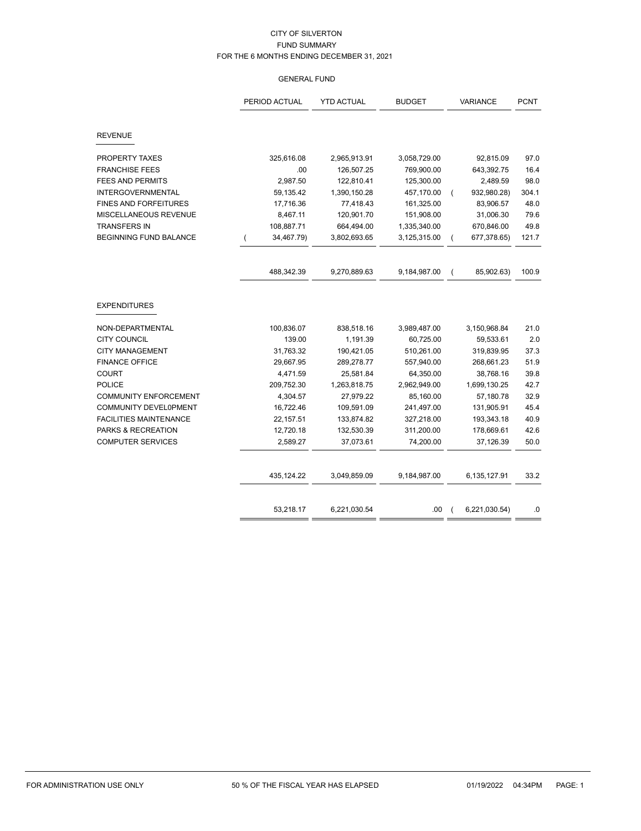# GENERAL FUND

|                               | PERIOD ACTUAL | <b>YTD ACTUAL</b> | <b>BUDGET</b> | <b>VARIANCE</b>               | <b>PCNT</b> |
|-------------------------------|---------------|-------------------|---------------|-------------------------------|-------------|
| <b>REVENUE</b>                |               |                   |               |                               |             |
| PROPERTY TAXES                | 325,616.08    | 2,965,913.91      | 3,058,729.00  | 92,815.09                     | 97.0        |
| <b>FRANCHISE FEES</b>         | .00           | 126,507.25        | 769,900.00    | 643,392.75                    | 16.4        |
| <b>FEES AND PERMITS</b>       | 2,987.50      | 122,810.41        | 125,300.00    | 2,489.59                      | 98.0        |
| <b>INTERGOVERNMENTAL</b>      | 59,135.42     | 1,390,150.28      | 457,170.00    | 932,980.28)<br>$\overline{ }$ | 304.1       |
| <b>FINES AND FORFEITURES</b>  | 17,716.36     | 77,418.43         | 161,325.00    | 83,906.57                     | 48.0        |
| MISCELLANEOUS REVENUE         | 8,467.11      | 120,901.70        | 151,908.00    | 31,006.30                     | 79.6        |
| <b>TRANSFERS IN</b>           | 108,887.71    | 664,494.00        | 1,335,340.00  | 670,846.00                    | 49.8        |
| <b>BEGINNING FUND BALANCE</b> | 34,467.79)    | 3,802,693.65      | 3,125,315.00  | 677,378.65)                   | 121.7       |
|                               | 488,342.39    | 9,270,889.63      | 9,184,987.00  | 85,902.63)<br>$\overline{ }$  | 100.9       |
| <b>EXPENDITURES</b>           |               |                   |               |                               |             |
| NON-DEPARTMENTAL              | 100,836.07    | 838,518.16        | 3,989,487.00  | 3,150,968.84                  | 21.0        |
| <b>CITY COUNCIL</b>           | 139.00        | 1,191.39          | 60,725.00     | 59,533.61                     | 2.0         |
| <b>CITY MANAGEMENT</b>        | 31,763.32     | 190,421.05        | 510,261.00    | 319,839.95                    | 37.3        |
| <b>FINANCE OFFICE</b>         | 29,667.95     | 289,278.77        | 557,940.00    | 268,661.23                    | 51.9        |
| <b>COURT</b>                  | 4,471.59      | 25,581.84         | 64,350.00     | 38,768.16                     | 39.8        |
| <b>POLICE</b>                 | 209,752.30    | 1,263,818.75      | 2,962,949.00  | 1,699,130.25                  | 42.7        |
| <b>COMMUNITY ENFORCEMENT</b>  | 4,304.57      | 27,979.22         | 85,160.00     | 57,180.78                     | 32.9        |
| COMMUNITY DEVEL0PMENT         | 16,722.46     | 109,591.09        | 241,497.00    | 131,905.91                    | 45.4        |
| <b>FACILITIES MAINTENANCE</b> | 22,157.51     | 133,874.82        | 327,218.00    | 193,343.18                    | 40.9        |
| PARKS & RECREATION            | 12,720.18     | 132,530.39        | 311,200.00    | 178,669.61                    | 42.6        |
| <b>COMPUTER SERVICES</b>      | 2,589.27      | 37,073.61         | 74,200.00     | 37,126.39                     | 50.0        |
|                               | 435,124.22    | 3,049,859.09      | 9,184,987.00  | 6,135,127.91                  | 33.2        |
|                               | 53,218.17     | 6,221,030.54      | .00.          | 6,221,030.54)                 | .0          |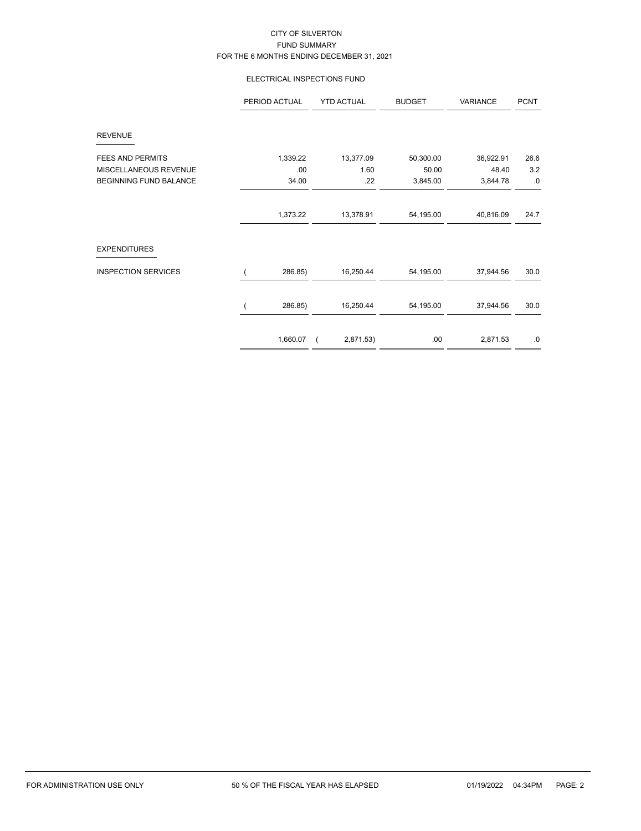# ELECTRICAL INSPECTIONS FUND

|                               | PERIOD ACTUAL | <b>YTD ACTUAL</b> | <b>BUDGET</b> | VARIANCE  | <b>PCNT</b> |
|-------------------------------|---------------|-------------------|---------------|-----------|-------------|
| <b>REVENUE</b>                |               |                   |               |           |             |
| <b>FEES AND PERMITS</b>       | 1,339.22      | 13,377.09         | 50,300.00     | 36,922.91 | 26.6        |
| MISCELLANEOUS REVENUE         | .00           | 1.60              | 50.00         | 48.40     | 3.2         |
| <b>BEGINNING FUND BALANCE</b> | 34.00         | .22               | 3,845.00      | 3,844.78  | .0          |
|                               | 1,373.22      | 13,378.91         | 54,195.00     | 40,816.09 | 24.7        |
| <b>EXPENDITURES</b>           |               |                   |               |           |             |
| <b>INSPECTION SERVICES</b>    | 286.85)       | 16,250.44         | 54,195.00     | 37,944.56 | 30.0        |
|                               | 286.85)       | 16,250.44         | 54,195.00     | 37,944.56 | 30.0        |
|                               | 1,660.07      | 2,871.53)         | .00.          | 2,871.53  | .0          |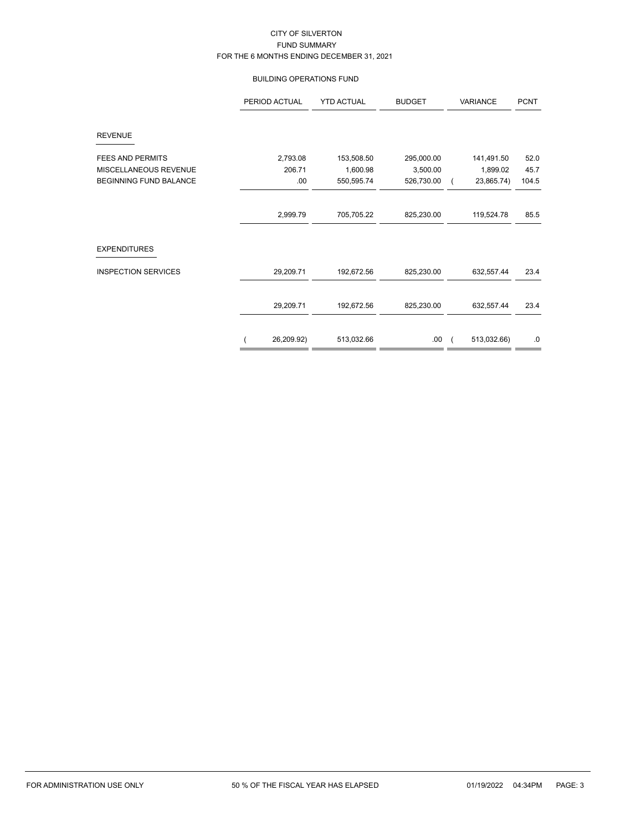### BUILDING OPERATIONS FUND

|                               | PERIOD ACTUAL | <b>YTD ACTUAL</b> | <b>BUDGET</b> | VARIANCE    | <b>PCNT</b> |
|-------------------------------|---------------|-------------------|---------------|-------------|-------------|
| <b>REVENUE</b>                |               |                   |               |             |             |
| <b>FEES AND PERMITS</b>       | 2,793.08      | 153,508.50        | 295,000.00    | 141,491.50  | 52.0        |
| MISCELLANEOUS REVENUE         | 206.71        | 1,600.98          | 3,500.00      | 1,899.02    | 45.7        |
| <b>BEGINNING FUND BALANCE</b> | .00           | 550,595.74        | 526,730.00    | 23,865.74)  | 104.5       |
|                               |               |                   |               |             |             |
|                               | 2,999.79      | 705,705.22        | 825,230.00    | 119,524.78  | 85.5        |
| <b>EXPENDITURES</b>           |               |                   |               |             |             |
| <b>INSPECTION SERVICES</b>    | 29,209.71     | 192,672.56        | 825,230.00    | 632,557.44  | 23.4        |
|                               | 29,209.71     | 192,672.56        | 825,230.00    | 632,557.44  | 23.4        |
|                               | 26,209.92)    | 513,032.66        | .00.          | 513,032.66) | $.0\,$      |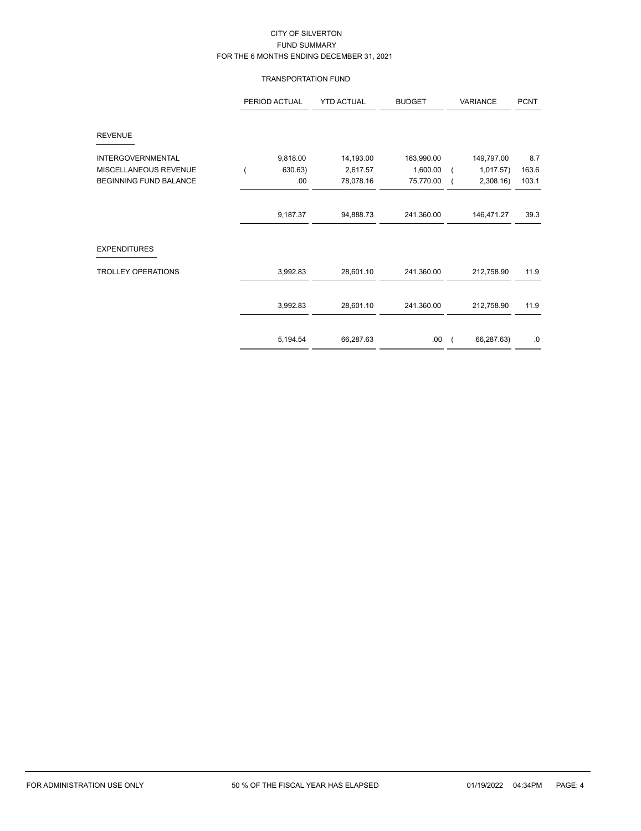### TRANSPORTATION FUND

|                               | PERIOD ACTUAL | <b>YTD ACTUAL</b> | <b>BUDGET</b> | VARIANCE   | <b>PCNT</b> |
|-------------------------------|---------------|-------------------|---------------|------------|-------------|
| <b>REVENUE</b>                |               |                   |               |            |             |
| <b>INTERGOVERNMENTAL</b>      | 9,818.00      | 14,193.00         | 163,990.00    | 149,797.00 | 8.7         |
| MISCELLANEOUS REVENUE         | 630.63)       | 2,617.57          | 1,600.00      | 1,017.57)  | 163.6       |
| <b>BEGINNING FUND BALANCE</b> | .00           | 78,078.16         | 75,770.00     | 2,308.16   | 103.1       |
|                               |               |                   |               |            |             |
|                               | 9,187.37      | 94,888.73         | 241,360.00    | 146,471.27 | 39.3        |
| <b>EXPENDITURES</b>           |               |                   |               |            |             |
| <b>TROLLEY OPERATIONS</b>     | 3,992.83      | 28,601.10         | 241,360.00    | 212,758.90 | 11.9        |
|                               | 3,992.83      | 28,601.10         | 241,360.00    | 212,758.90 | 11.9        |
|                               |               |                   |               |            |             |
|                               | 5,194.54      | 66,287.63         | .00.          | 66,287.63) | $.0\,$      |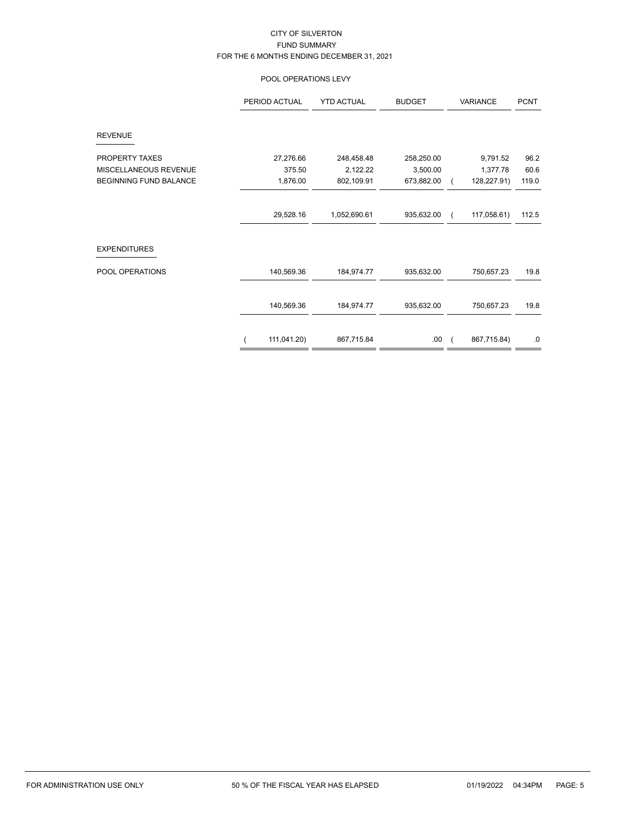# POOL OPERATIONS LEVY

|                        | PERIOD ACTUAL | <b>YTD ACTUAL</b> | <b>BUDGET</b> | VARIANCE    | <b>PCNT</b> |
|------------------------|---------------|-------------------|---------------|-------------|-------------|
| <b>REVENUE</b>         |               |                   |               |             |             |
| PROPERTY TAXES         | 27,276.66     | 248,458.48        | 258,250.00    | 9,791.52    | 96.2        |
| MISCELLANEOUS REVENUE  | 375.50        | 2,122.22          | 3,500.00      | 1,377.78    | 60.6        |
| BEGINNING FUND BALANCE | 1,876.00      | 802,109.91        | 673,882.00    | 128,227.91) | 119.0       |
|                        |               |                   |               |             |             |
|                        | 29,528.16     | 1,052,690.61      | 935,632.00    | 117,058.61) | 112.5       |
| <b>EXPENDITURES</b>    |               |                   |               |             |             |
| POOL OPERATIONS        | 140,569.36    | 184,974.77        | 935,632.00    | 750,657.23  | 19.8        |
|                        | 140,569.36    | 184,974.77        | 935,632.00    | 750,657.23  | 19.8        |
|                        | 111,041.20)   | 867,715.84        | .00.          | 867,715.84) | $.0\,$      |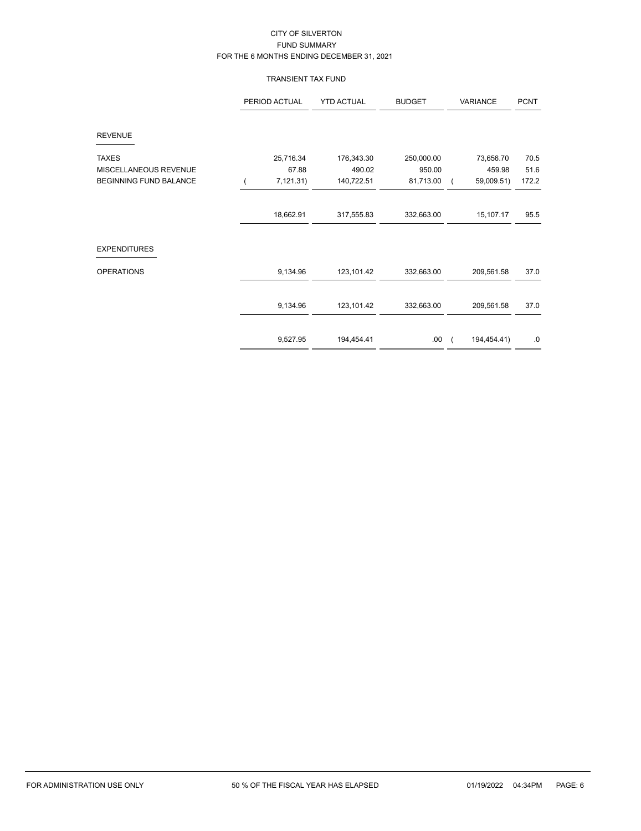# TRANSIENT TAX FUND

|                               | PERIOD ACTUAL | <b>YTD ACTUAL</b> | <b>BUDGET</b> | VARIANCE    | <b>PCNT</b> |
|-------------------------------|---------------|-------------------|---------------|-------------|-------------|
| <b>REVENUE</b>                |               |                   |               |             |             |
| <b>TAXES</b>                  | 25,716.34     | 176,343.30        | 250,000.00    | 73,656.70   | 70.5        |
| MISCELLANEOUS REVENUE         | 67.88         | 490.02            | 950.00        | 459.98      | 51.6        |
| <b>BEGINNING FUND BALANCE</b> | 7,121.31)     | 140,722.51        | 81,713.00     | 59,009.51)  | 172.2       |
|                               |               |                   |               |             |             |
|                               | 18,662.91     | 317,555.83        | 332,663.00    | 15,107.17   | 95.5        |
| <b>EXPENDITURES</b>           |               |                   |               |             |             |
| <b>OPERATIONS</b>             | 9,134.96      | 123,101.42        | 332,663.00    | 209,561.58  | 37.0        |
|                               | 9,134.96      | 123, 101.42       | 332,663.00    | 209,561.58  | 37.0        |
|                               |               |                   |               |             |             |
|                               | 9,527.95      | 194,454.41        | .00.          | 194,454.41) | $.0\,$      |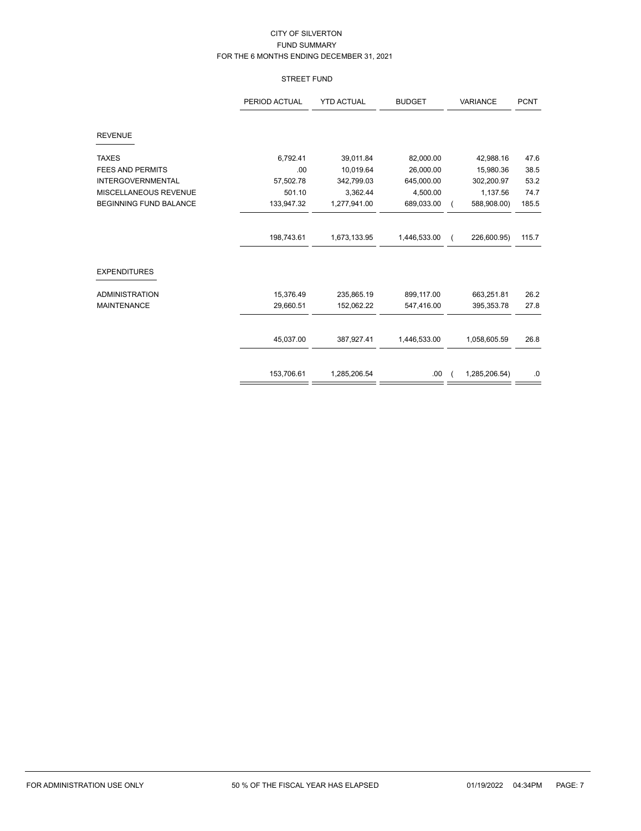# STREET FUND

|                               | <b>YTD ACTUAL</b><br><b>BUDGET</b><br>PERIOD ACTUAL |              | <b>VARIANCE</b> | <b>PCNT</b>   |       |
|-------------------------------|-----------------------------------------------------|--------------|-----------------|---------------|-------|
| <b>REVENUE</b>                |                                                     |              |                 |               |       |
| <b>TAXES</b>                  | 6,792.41                                            | 39,011.84    | 82,000.00       | 42,988.16     | 47.6  |
| <b>FEES AND PERMITS</b>       | .00                                                 | 10,019.64    | 26,000.00       | 15,980.36     | 38.5  |
| <b>INTERGOVERNMENTAL</b>      | 57,502.78                                           | 342,799.03   | 645,000.00      | 302,200.97    | 53.2  |
| MISCELLANEOUS REVENUE         | 501.10                                              | 3,362.44     | 4,500.00        | 1,137.56      | 74.7  |
| <b>BEGINNING FUND BALANCE</b> | 133,947.32                                          | 1,277,941.00 | 689,033.00      | 588,908.00)   | 185.5 |
|                               | 198,743.61                                          | 1,673,133.95 | 1,446,533.00    | 226,600.95)   | 115.7 |
| <b>EXPENDITURES</b>           |                                                     |              |                 |               |       |
| <b>ADMINISTRATION</b>         | 15,376.49                                           | 235,865.19   | 899,117.00      | 663,251.81    | 26.2  |
| <b>MAINTENANCE</b>            | 29,660.51                                           | 152,062.22   | 547,416.00      | 395, 353. 78  | 27.8  |
|                               | 45,037.00                                           | 387,927.41   | 1,446,533.00    | 1,058,605.59  | 26.8  |
|                               | 153,706.61                                          | 1,285,206.54 | .00             | 1,285,206.54) | .0    |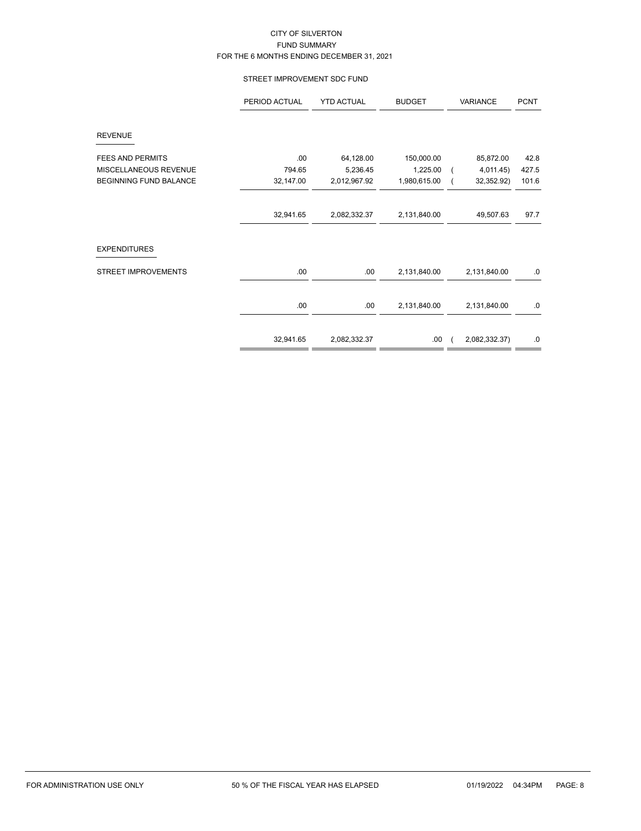### STREET IMPROVEMENT SDC FUND

|                               | PERIOD ACTUAL | <b>YTD ACTUAL</b> | <b>BUDGET</b> | VARIANCE                    | <b>PCNT</b> |
|-------------------------------|---------------|-------------------|---------------|-----------------------------|-------------|
| <b>REVENUE</b>                |               |                   |               |                             |             |
| FEES AND PERMITS              | .00           | 64,128.00         | 150,000.00    | 85,872.00                   | 42.8        |
| MISCELLANEOUS REVENUE         | 794.65        | 5,236.45          | 1,225.00      | 4,011.45)<br>$\overline{ }$ | 427.5       |
| <b>BEGINNING FUND BALANCE</b> | 32,147.00     | 2,012,967.92      | 1,980,615.00  | 32,352.92)                  | 101.6       |
|                               |               |                   |               |                             |             |
|                               | 32,941.65     | 2,082,332.37      | 2,131,840.00  | 49,507.63                   | 97.7        |
| <b>EXPENDITURES</b>           |               |                   |               |                             |             |
| <b>STREET IMPROVEMENTS</b>    | .00.          | .00               | 2,131,840.00  | 2,131,840.00                | .0          |
|                               | .00           | .00               | 2,131,840.00  | 2,131,840.00                | .0          |
|                               | 32,941.65     | 2,082,332.37      | .00           | 2,082,332.37)               | .0          |
|                               |               |                   |               |                             |             |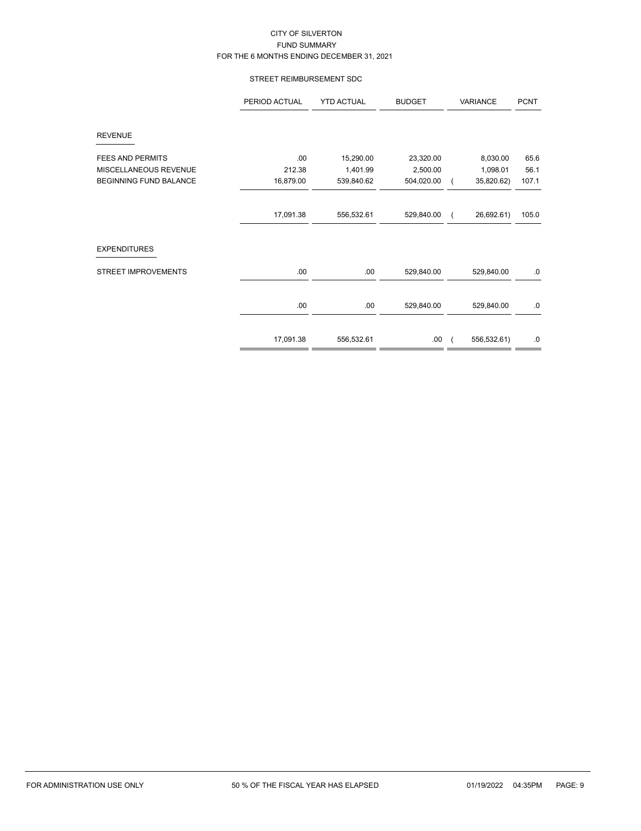### STREET REIMBURSEMENT SDC

|                               | PERIOD ACTUAL | <b>YTD ACTUAL</b> | <b>BUDGET</b> | VARIANCE    | <b>PCNT</b> |
|-------------------------------|---------------|-------------------|---------------|-------------|-------------|
| <b>REVENUE</b>                |               |                   |               |             |             |
| <b>FEES AND PERMITS</b>       | .00           | 15,290.00         | 23,320.00     | 8,030.00    | 65.6        |
| MISCELLANEOUS REVENUE         | 212.38        | 1,401.99          | 2,500.00      | 1,098.01    | 56.1        |
| <b>BEGINNING FUND BALANCE</b> | 16,879.00     | 539,840.62        | 504,020.00    | 35,820.62)  | 107.1       |
|                               |               |                   |               |             |             |
|                               | 17,091.38     | 556,532.61        | 529,840.00    | 26,692.61)  | 105.0       |
| <b>EXPENDITURES</b>           |               |                   |               |             |             |
| <b>STREET IMPROVEMENTS</b>    | .00           | .00               | 529,840.00    | 529,840.00  | .0          |
|                               | .00.          | .00               | 529,840.00    | 529,840.00  | 0.          |
|                               |               |                   |               |             |             |
|                               | 17,091.38     | 556,532.61        | .00           | 556,532.61) | .0          |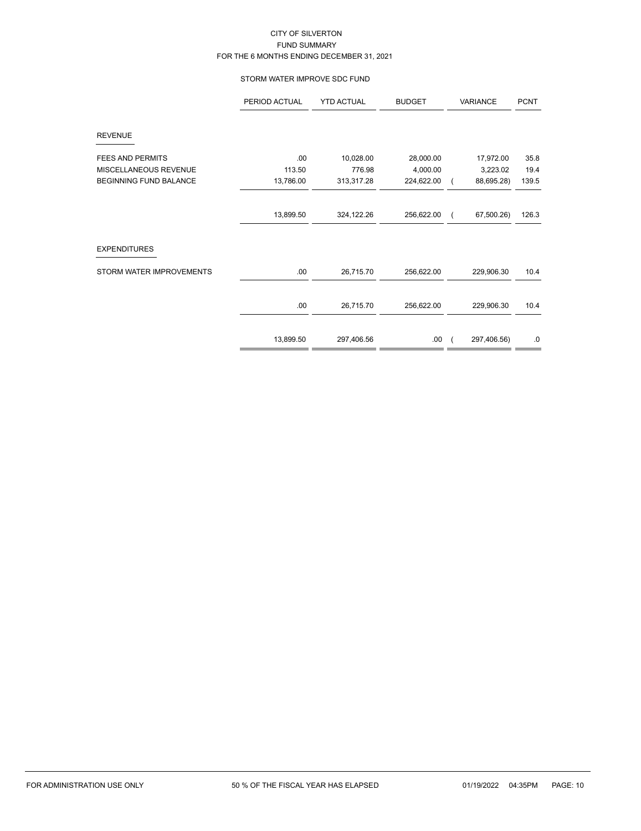### STORM WATER IMPROVE SDC FUND

|                          | PERIOD ACTUAL | <b>YTD ACTUAL</b> | <b>BUDGET</b> | VARIANCE    | <b>PCNT</b> |
|--------------------------|---------------|-------------------|---------------|-------------|-------------|
| <b>REVENUE</b>           |               |                   |               |             |             |
| <b>FEES AND PERMITS</b>  | .00           | 10,028.00         | 28,000.00     | 17,972.00   | 35.8        |
| MISCELLANEOUS REVENUE    | 113.50        | 776.98            | 4,000.00      | 3,223.02    | 19.4        |
| BEGINNING FUND BALANCE   | 13,786.00     | 313,317.28        | 224,622.00    | 88,695.28)  | 139.5       |
|                          |               |                   |               |             |             |
|                          | 13,899.50     | 324,122.26        | 256,622.00    | 67,500.26)  | 126.3       |
| <b>EXPENDITURES</b>      |               |                   |               |             |             |
| STORM WATER IMPROVEMENTS | .00           | 26,715.70         | 256,622.00    | 229,906.30  | 10.4        |
|                          |               |                   |               |             |             |
|                          | .00           | 26,715.70         | 256,622.00    | 229,906.30  | 10.4        |
|                          |               |                   |               |             |             |
|                          | 13,899.50     | 297,406.56        | .00.          | 297,406.56) | .0          |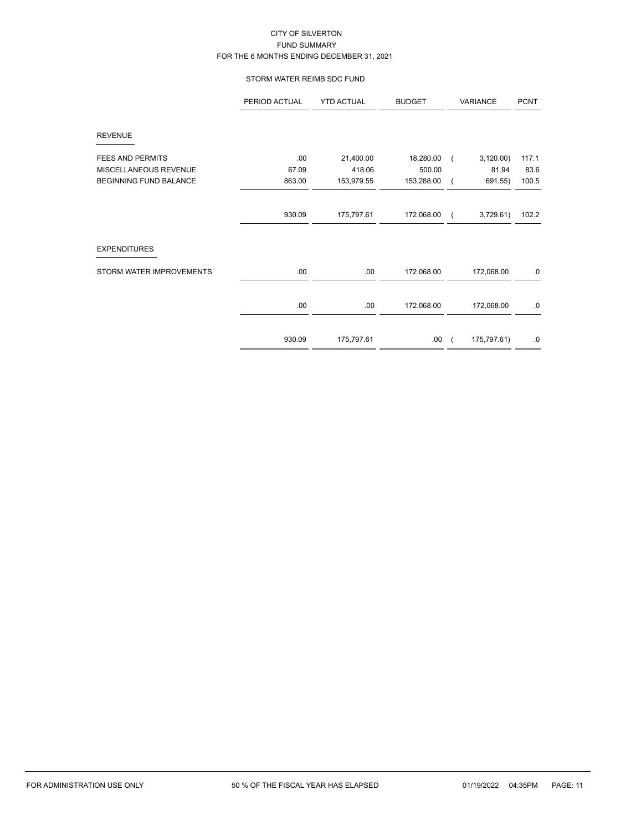### STORM WATER REIMB SDC FUND

|                               | PERIOD ACTUAL | <b>YTD ACTUAL</b> | <b>BUDGET</b> | VARIANCE    | <b>PCNT</b> |
|-------------------------------|---------------|-------------------|---------------|-------------|-------------|
| <b>REVENUE</b>                |               |                   |               |             |             |
| <b>FEES AND PERMITS</b>       | .00           | 21,400.00         | 18,280.00     | 3,120.00    | 117.1       |
| MISCELLANEOUS REVENUE         | 67.09         | 418.06            | 500.00        | 81.94       | 83.6        |
| <b>BEGINNING FUND BALANCE</b> | 863.00        | 153,979.55        | 153,288.00    | 691.55)     | 100.5       |
|                               |               |                   |               |             |             |
|                               | 930.09        | 175,797.61        | 172,068.00    | 3,729.61    | 102.2       |
| <b>EXPENDITURES</b>           |               |                   |               |             |             |
| STORM WATER IMPROVEMENTS      | .00           | .00               | 172,068.00    | 172,068.00  | .0          |
|                               | .00           | .00               | 172,068.00    | 172,068.00  | .0          |
|                               |               |                   |               |             |             |
|                               | 930.09        | 175,797.61        | .00.          | 175,797.61) | .0          |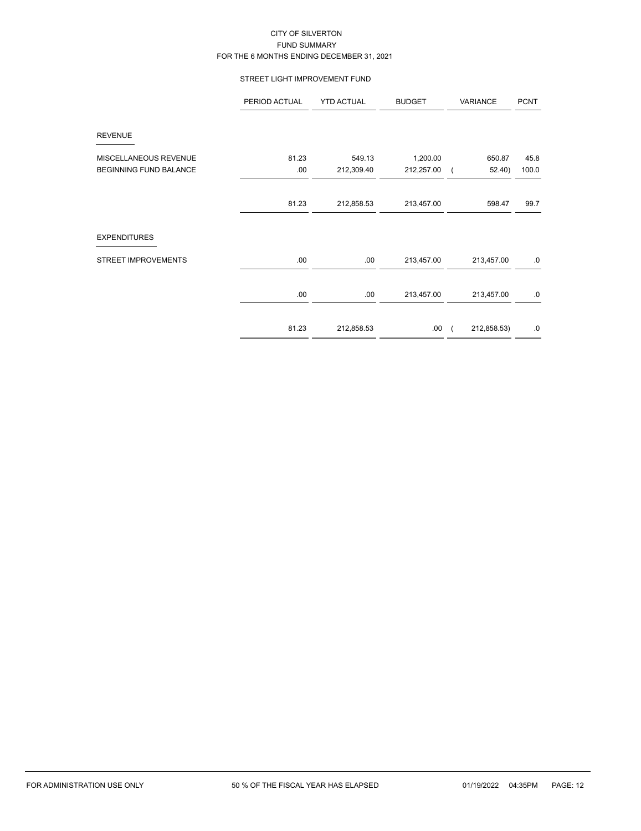### STREET LIGHT IMPROVEMENT FUND

|                               | PERIOD ACTUAL | <b>YTD ACTUAL</b> | <b>BUDGET</b> | VARIANCE                  | <b>PCNT</b> |
|-------------------------------|---------------|-------------------|---------------|---------------------------|-------------|
| <b>REVENUE</b>                |               |                   |               |                           |             |
| MISCELLANEOUS REVENUE         | 81.23         | 549.13            | 1,200.00      | 650.87                    | 45.8        |
| <b>BEGINNING FUND BALANCE</b> | .00           | 212,309.40        | 212,257.00    | 52.40)                    | 100.0       |
|                               | 81.23         | 212,858.53        | 213,457.00    | 598.47                    | 99.7        |
| <b>EXPENDITURES</b>           |               |                   |               |                           |             |
| <b>STREET IMPROVEMENTS</b>    | .00           | .00.              | 213,457.00    | 213,457.00                | .0          |
|                               | .00           | .00               | 213,457.00    | 213,457.00                | .0          |
|                               | 81.23         | 212,858.53        | .00           | 212,858.53)<br>$\sqrt{2}$ | .0          |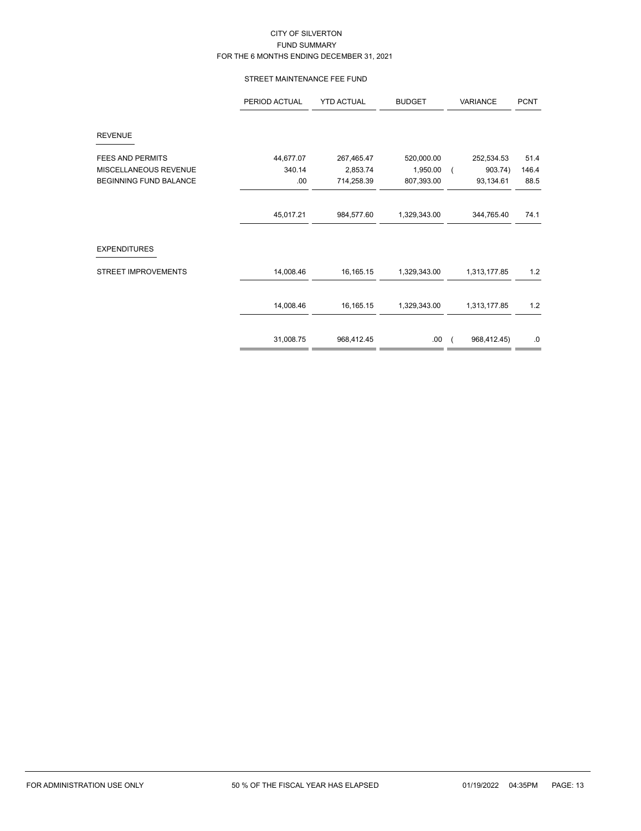### STREET MAINTENANCE FEE FUND

| PERIOD ACTUAL | <b>YTD ACTUAL</b> | <b>BUDGET</b> | VARIANCE     | <b>PCNT</b> |
|---------------|-------------------|---------------|--------------|-------------|
|               |                   |               |              |             |
| 44,677.07     | 267,465.47        | 520,000.00    | 252,534.53   | 51.4        |
| 340.14        | 2,853.74          | 1,950.00      | 903.74)      | 146.4       |
| .00           | 714,258.39        | 807,393.00    | 93,134.61    | 88.5        |
|               |                   |               |              |             |
| 45,017.21     | 984,577.60        | 1,329,343.00  | 344,765.40   | 74.1        |
|               |                   |               |              |             |
| 14,008.46     | 16,165.15         | 1,329,343.00  | 1,313,177.85 | 1.2         |
| 14,008.46     | 16,165.15         | 1,329,343.00  | 1,313,177.85 | $1.2$       |
| 31,008.75     | 968,412.45        | .00.          | 968,412.45)  | $.0\,$      |
|               |                   |               |              |             |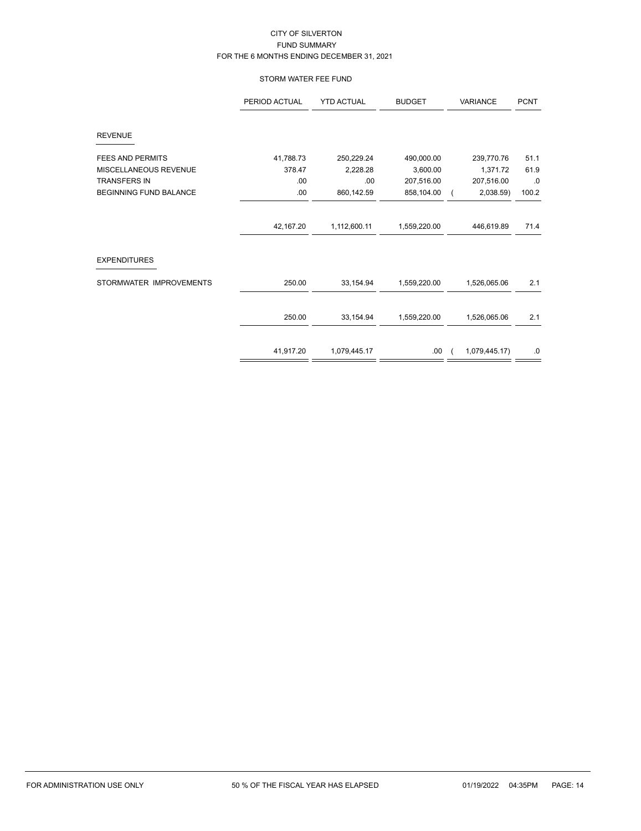# STORM WATER FEE FUND

|                               | PERIOD ACTUAL | <b>YTD ACTUAL</b> | <b>BUDGET</b> | <b>VARIANCE</b> | <b>PCNT</b> |
|-------------------------------|---------------|-------------------|---------------|-----------------|-------------|
| <b>REVENUE</b>                |               |                   |               |                 |             |
| FEES AND PERMITS              | 41,788.73     | 250,229.24        | 490,000.00    | 239,770.76      | 51.1        |
| MISCELLANEOUS REVENUE         | 378.47        | 2,228.28          | 3,600.00      | 1,371.72        | 61.9        |
| <b>TRANSFERS IN</b>           | .00           | .00               | 207,516.00    | 207,516.00      | .0          |
| <b>BEGINNING FUND BALANCE</b> | .00           | 860,142.59        | 858,104.00    | 2,038.59)       | 100.2       |
|                               | 42,167.20     | 1,112,600.11      | 1,559,220.00  | 446,619.89      | 71.4        |
| <b>EXPENDITURES</b>           |               |                   |               |                 |             |
| STORMWATER IMPROVEMENTS       | 250.00        | 33,154.94         | 1,559,220.00  | 1,526,065.06    | 2.1         |
|                               | 250.00        | 33,154.94         | 1,559,220.00  | 1,526,065.06    | 2.1         |
|                               |               |                   |               |                 |             |
|                               | 41,917.20     | 1,079,445.17      | .00           | 1,079,445.17)   | .0          |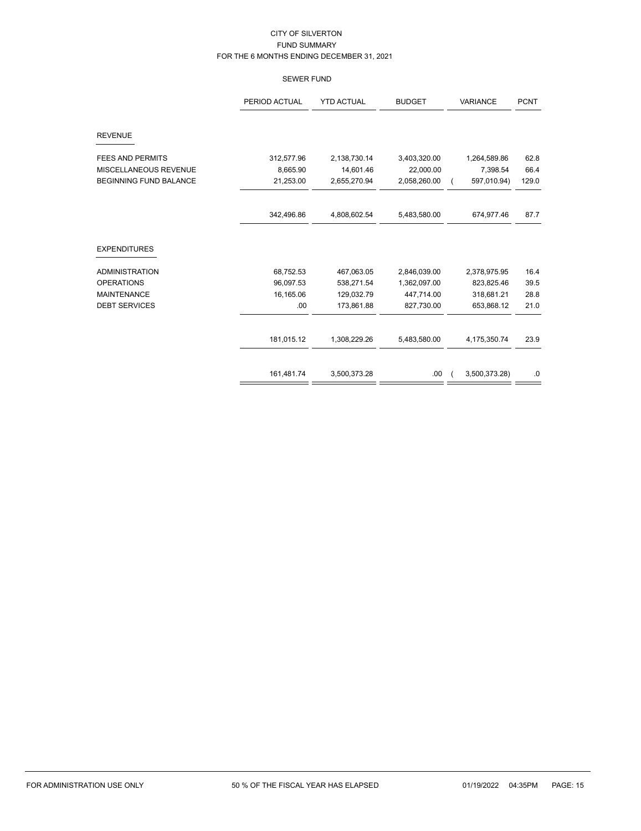# SEWER FUND

|                               | PERIOD ACTUAL | <b>YTD ACTUAL</b> | <b>BUDGET</b> | <b>VARIANCE</b> | <b>PCNT</b> |
|-------------------------------|---------------|-------------------|---------------|-----------------|-------------|
| <b>REVENUE</b>                |               |                   |               |                 |             |
| <b>FEES AND PERMITS</b>       | 312,577.96    | 2,138,730.14      | 3,403,320.00  | 1,264,589.86    | 62.8        |
| MISCELLANEOUS REVENUE         | 8,665.90      | 14,601.46         | 22,000.00     | 7,398.54        | 66.4        |
| <b>BEGINNING FUND BALANCE</b> | 21,253.00     | 2,655,270.94      | 2,058,260.00  | 597,010.94)     | 129.0       |
|                               | 342,496.86    | 4,808,602.54      | 5,483,580.00  | 674,977.46      | 87.7        |
| <b>EXPENDITURES</b>           |               |                   |               |                 |             |
| <b>ADMINISTRATION</b>         | 68,752.53     | 467,063.05        | 2,846,039.00  | 2,378,975.95    | 16.4        |
| <b>OPERATIONS</b>             | 96,097.53     | 538,271.54        | 1,362,097.00  | 823,825.46      | 39.5        |
| <b>MAINTENANCE</b>            | 16,165.06     | 129,032.79        | 447,714.00    | 318,681.21      | 28.8        |
| <b>DEBT SERVICES</b>          | .00           | 173,861.88        | 827,730.00    | 653,868.12      | 21.0        |
|                               | 181,015.12    | 1,308,229.26      | 5,483,580.00  | 4,175,350.74    | 23.9        |
|                               |               |                   |               |                 |             |
|                               | 161,481.74    | 3,500,373.28      | .00           | 3,500,373.28)   | .0          |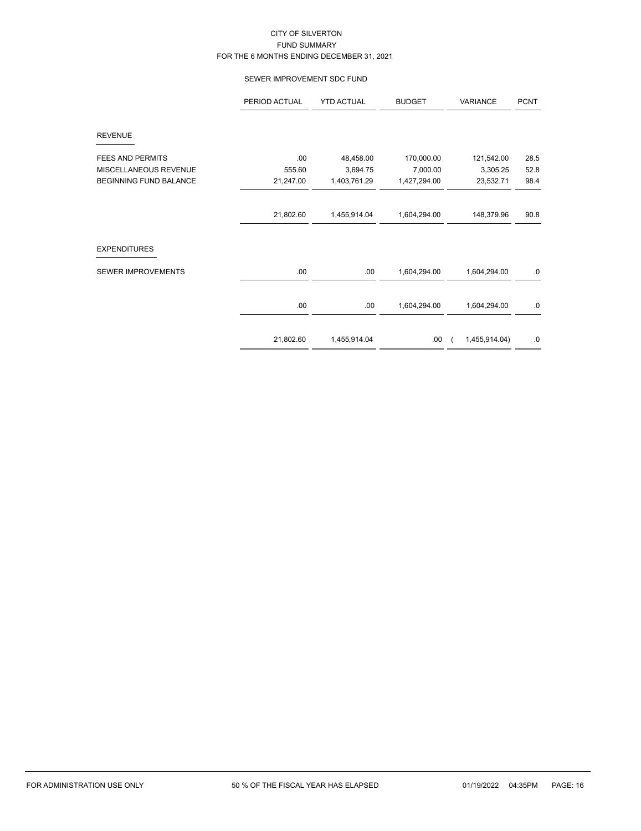### SEWER IMPROVEMENT SDC FUND

|                               | PERIOD ACTUAL | <b>YTD ACTUAL</b> | <b>BUDGET</b> | VARIANCE      | <b>PCNT</b> |
|-------------------------------|---------------|-------------------|---------------|---------------|-------------|
| <b>REVENUE</b>                |               |                   |               |               |             |
| <b>FEES AND PERMITS</b>       | .00           | 48,458.00         | 170,000.00    | 121,542.00    | 28.5        |
| MISCELLANEOUS REVENUE         | 555.60        | 3,694.75          | 7,000.00      | 3,305.25      | 52.8        |
| <b>BEGINNING FUND BALANCE</b> | 21,247.00     | 1,403,761.29      | 1,427,294.00  | 23,532.71     | 98.4        |
|                               | 21,802.60     | 1,455,914.04      | 1,604,294.00  | 148,379.96    | 90.8        |
| <b>EXPENDITURES</b>           |               |                   |               |               |             |
| SEWER IMPROVEMENTS            | .00           | .00               | 1,604,294.00  | 1,604,294.00  | 0.          |
|                               | .00           | .00               | 1,604,294.00  | 1,604,294.00  | 0.          |
|                               | 21,802.60     | 1,455,914.04      | .00           | 1,455,914.04) | .0          |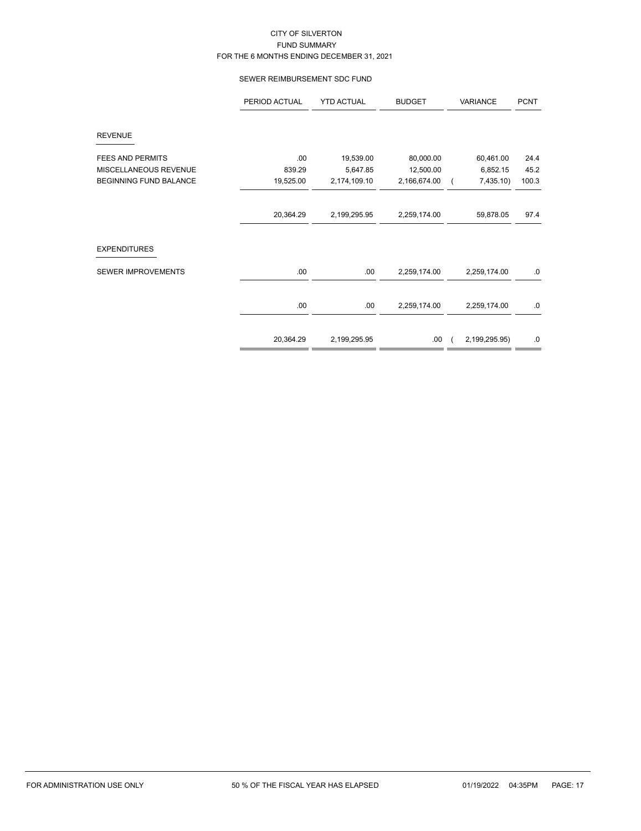### SEWER REIMBURSEMENT SDC FUND

|                               | PERIOD ACTUAL | <b>YTD ACTUAL</b> | <b>BUDGET</b> | VARIANCE      | <b>PCNT</b> |
|-------------------------------|---------------|-------------------|---------------|---------------|-------------|
| <b>REVENUE</b>                |               |                   |               |               |             |
| <b>FEES AND PERMITS</b>       | .00           | 19,539.00         | 80,000.00     | 60,461.00     | 24.4        |
| MISCELLANEOUS REVENUE         | 839.29        | 5,647.85          | 12,500.00     | 6,852.15      | 45.2        |
| <b>BEGINNING FUND BALANCE</b> | 19,525.00     | 2,174,109.10      | 2,166,674.00  | 7,435.10)     | 100.3       |
|                               |               |                   |               |               |             |
|                               | 20,364.29     | 2,199,295.95      | 2,259,174.00  | 59,878.05     | 97.4        |
| <b>EXPENDITURES</b>           |               |                   |               |               |             |
| <b>SEWER IMPROVEMENTS</b>     | .00           | .00               | 2,259,174.00  | 2,259,174.00  | .0          |
|                               | .00           | .00               | 2,259,174.00  | 2,259,174.00  | .0          |
|                               |               |                   |               |               |             |
|                               | 20,364.29     | 2,199,295.95      | .00           | 2,199,295.95) | .0          |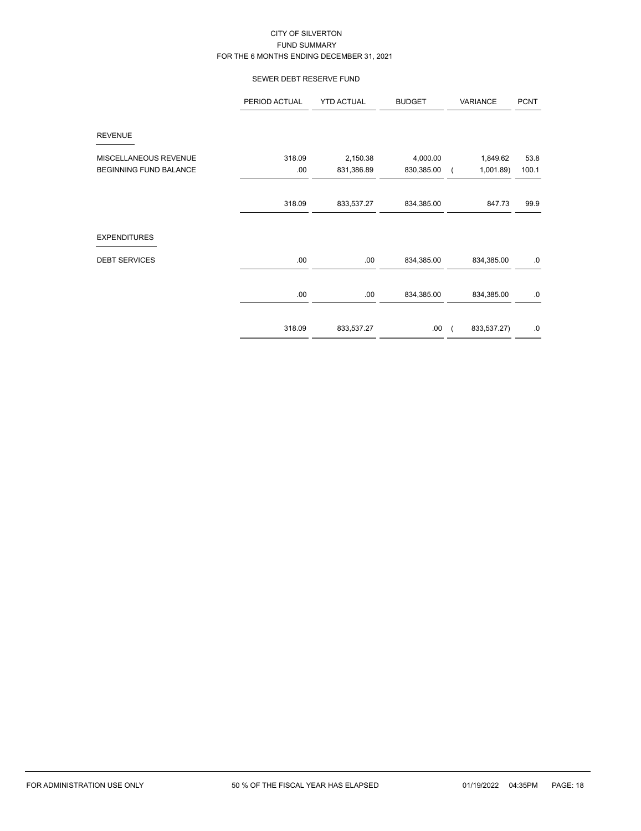# SEWER DEBT RESERVE FUND

|                                                        | PERIOD ACTUAL | <b>YTD ACTUAL</b>      | <b>BUDGET</b>          | VARIANCE             | <b>PCNT</b>   |
|--------------------------------------------------------|---------------|------------------------|------------------------|----------------------|---------------|
| <b>REVENUE</b>                                         |               |                        |                        |                      |               |
| MISCELLANEOUS REVENUE<br><b>BEGINNING FUND BALANCE</b> | 318.09<br>.00 | 2,150.38<br>831,386.89 | 4,000.00<br>830,385.00 | 1,849.62<br>1,001.89 | 53.8<br>100.1 |
|                                                        | 318.09        | 833,537.27             | 834,385.00             | 847.73               | 99.9          |
| <b>EXPENDITURES</b>                                    |               |                        |                        |                      |               |
| <b>DEBT SERVICES</b>                                   | .00.          | .00.                   | 834,385.00             | 834,385.00           | $.0 \,$       |
|                                                        | .00.          | .00                    | 834,385.00             | 834,385.00           | .0            |
|                                                        | 318.09        | 833,537.27             | .00.                   | 833,537.27)          | .0            |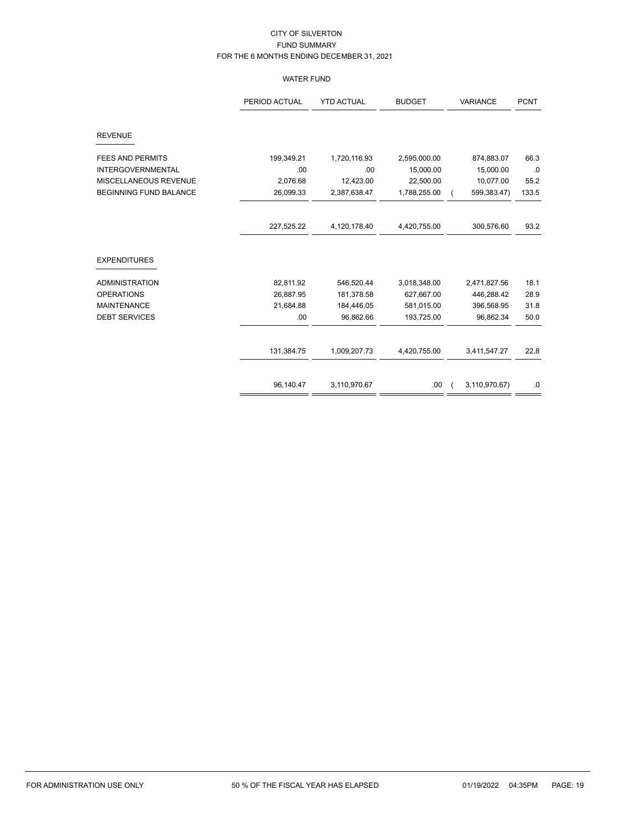# WATER FUND

|                               | PERIOD ACTUAL | <b>YTD ACTUAL</b> | <b>BUDGET</b> | VARIANCE      | <b>PCNT</b> |
|-------------------------------|---------------|-------------------|---------------|---------------|-------------|
| <b>REVENUE</b>                |               |                   |               |               |             |
| <b>FEES AND PERMITS</b>       | 199,349.21    | 1,720,116.93      | 2,595,000.00  | 874,883.07    | 66.3        |
| <b>INTERGOVERNMENTAL</b>      | .00           | .00               | 15,000.00     | 15,000.00     | .0          |
| MISCELLANEOUS REVENUE         | 2,076.68      | 12,423.00         | 22,500.00     | 10,077.00     | 55.2        |
| <b>BEGINNING FUND BALANCE</b> | 26,099.33     | 2,387,638.47      | 1,788,255.00  | 599,383.47)   | 133.5       |
|                               | 227,525.22    | 4,120,178.40      | 4,420,755.00  | 300,576.60    | 93.2        |
| <b>EXPENDITURES</b>           |               |                   |               |               |             |
| <b>ADMINISTRATION</b>         | 82,811.92     | 546,520.44        | 3,018,348.00  | 2,471,827.56  | 18.1        |
| <b>OPERATIONS</b>             | 26,887.95     | 181,378.58        | 627,667.00    | 446,288.42    | 28.9        |
| <b>MAINTENANCE</b>            | 21,684.88     | 184,446.05        | 581,015.00    | 396,568.95    | 31.8        |
| <b>DEBT SERVICES</b>          | .00           | 96,862.66         | 193,725.00    | 96,862.34     | 50.0        |
|                               | 131,384.75    | 1,009,207.73      | 4,420,755.00  | 3,411,547.27  | 22.8        |
|                               | 96,140.47     | 3,110,970.67      | .00           | 3,110,970.67) | .0          |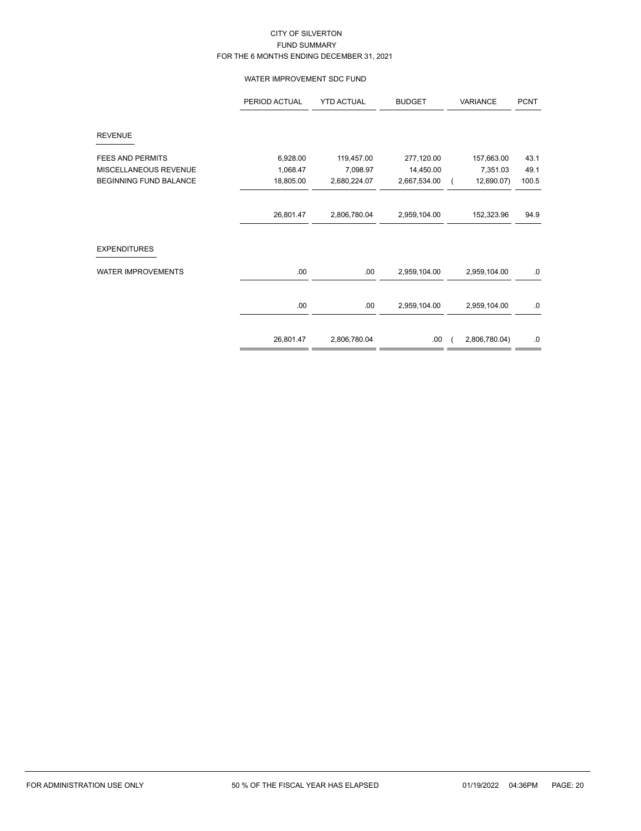### WATER IMPROVEMENT SDC FUND

|                           | PERIOD ACTUAL | <b>YTD ACTUAL</b> | <b>BUDGET</b> | VARIANCE      | <b>PCNT</b> |
|---------------------------|---------------|-------------------|---------------|---------------|-------------|
| <b>REVENUE</b>            |               |                   |               |               |             |
| <b>FEES AND PERMITS</b>   | 6,928.00      | 119,457.00        | 277,120.00    | 157,663.00    | 43.1        |
| MISCELLANEOUS REVENUE     | 1,068.47      | 7,098.97          | 14,450.00     | 7,351.03      | 49.1        |
| BEGINNING FUND BALANCE    | 18,805.00     | 2,680,224.07      | 2,667,534.00  | 12,690.07)    | 100.5       |
|                           |               |                   |               |               |             |
|                           | 26,801.47     | 2,806,780.04      | 2,959,104.00  | 152,323.96    | 94.9        |
| <b>EXPENDITURES</b>       |               |                   |               |               |             |
| <b>WATER IMPROVEMENTS</b> | .00           | .00.              | 2,959,104.00  | 2,959,104.00  | $.0 \,$     |
|                           | .00           | .00               | 2,959,104.00  | 2,959,104.00  | .0          |
|                           | 26,801.47     | 2,806,780.04      | .00.          | 2,806,780.04) | .0          |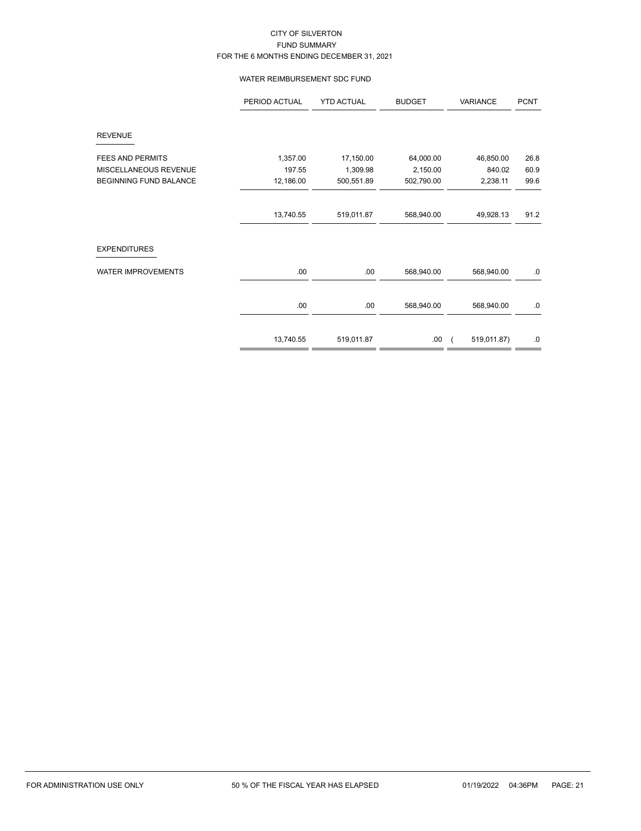### WATER REIMBURSEMENT SDC FUND

|                               | PERIOD ACTUAL | <b>YTD ACTUAL</b> | <b>BUDGET</b> | VARIANCE    | <b>PCNT</b> |
|-------------------------------|---------------|-------------------|---------------|-------------|-------------|
| <b>REVENUE</b>                |               |                   |               |             |             |
| <b>FEES AND PERMITS</b>       | 1,357.00      | 17,150.00         | 64,000.00     | 46,850.00   | 26.8        |
| MISCELLANEOUS REVENUE         | 197.55        | 1,309.98          | 2,150.00      | 840.02      | 60.9        |
| <b>BEGINNING FUND BALANCE</b> | 12,186.00     | 500,551.89        | 502,790.00    | 2,238.11    | 99.6        |
|                               |               |                   |               |             |             |
|                               | 13,740.55     | 519,011.87        | 568,940.00    | 49,928.13   | 91.2        |
| <b>EXPENDITURES</b>           |               |                   |               |             |             |
| <b>WATER IMPROVEMENTS</b>     | .00           | .00               | 568,940.00    | 568,940.00  | $.0\,$      |
|                               | .00           | .00               | 568,940.00    | 568,940.00  | $.0 \,$     |
|                               |               |                   |               |             |             |
|                               | 13,740.55     | 519,011.87        | .00           | 519,011.87) | .0          |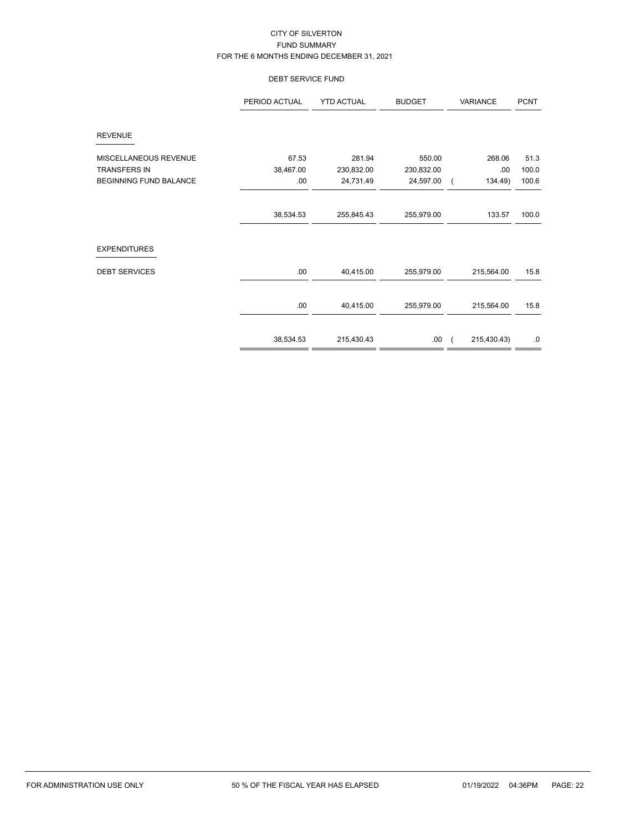### DEBT SERVICE FUND

|                        | PERIOD ACTUAL | <b>YTD ACTUAL</b> | <b>BUDGET</b> | VARIANCE    | <b>PCNT</b> |
|------------------------|---------------|-------------------|---------------|-------------|-------------|
| <b>REVENUE</b>         |               |                   |               |             |             |
| MISCELLANEOUS REVENUE  | 67.53         | 281.94            | 550.00        | 268.06      | 51.3        |
| <b>TRANSFERS IN</b>    | 38,467.00     | 230,832.00        | 230,832.00    | .00.        | 100.0       |
| BEGINNING FUND BALANCE | .00           | 24,731.49         | 24,597.00     | 134.49)     | 100.6       |
|                        |               |                   |               |             |             |
|                        | 38,534.53     | 255,845.43        | 255,979.00    | 133.57      | 100.0       |
| <b>EXPENDITURES</b>    |               |                   |               |             |             |
| <b>DEBT SERVICES</b>   | .00.          | 40,415.00         | 255,979.00    | 215,564.00  | 15.8        |
|                        | .00.          | 40,415.00         | 255,979.00    | 215,564.00  | 15.8        |
|                        | 38,534.53     | 215,430.43        | .00.          | 215,430.43) | 0.          |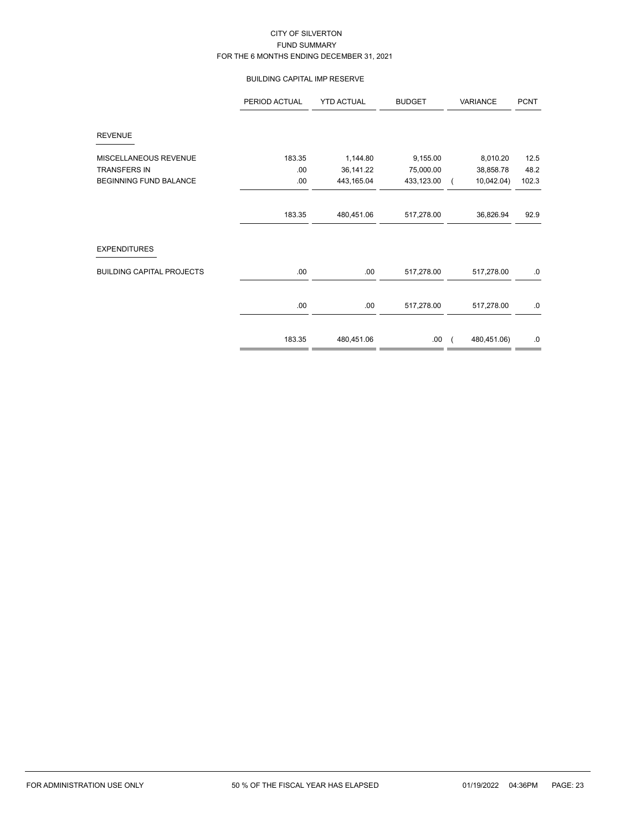### BUILDING CAPITAL IMP RESERVE

|                                  | PERIOD ACTUAL | <b>YTD ACTUAL</b> | <b>BUDGET</b> | VARIANCE    | <b>PCNT</b> |
|----------------------------------|---------------|-------------------|---------------|-------------|-------------|
| <b>REVENUE</b>                   |               |                   |               |             |             |
| MISCELLANEOUS REVENUE            | 183.35        | 1,144.80          | 9,155.00      | 8,010.20    | 12.5        |
| <b>TRANSFERS IN</b>              | .00           | 36,141.22         | 75,000.00     | 38,858.78   | 48.2        |
| <b>BEGINNING FUND BALANCE</b>    | .00           | 443,165.04        | 433,123.00    | 10,042.04)  | 102.3       |
|                                  | 183.35        | 480,451.06        | 517,278.00    | 36,826.94   | 92.9        |
| <b>EXPENDITURES</b>              |               |                   |               |             |             |
| <b>BUILDING CAPITAL PROJECTS</b> | .00           | .00               | 517,278.00    | 517,278.00  | $.0 \,$     |
|                                  | .00           | .00               | 517,278.00    | 517,278.00  | $.0 \,$     |
|                                  | 183.35        | 480,451.06        | .00.          | 480,451.06) | $.0\,$      |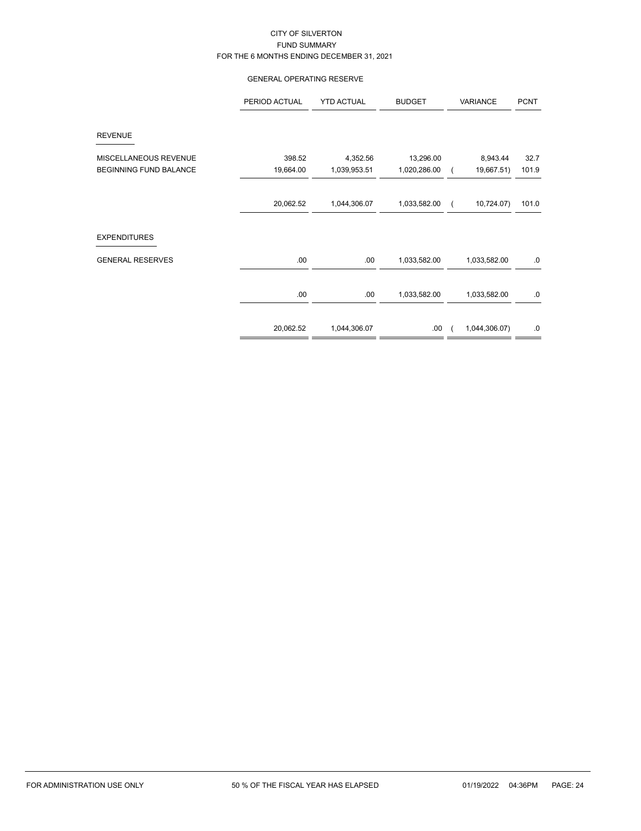### GENERAL OPERATING RESERVE

|                               | PERIOD ACTUAL | <b>YTD ACTUAL</b> | <b>BUDGET</b> | VARIANCE               | <b>PCNT</b> |
|-------------------------------|---------------|-------------------|---------------|------------------------|-------------|
| <b>REVENUE</b>                |               |                   |               |                        |             |
| MISCELLANEOUS REVENUE         | 398.52        | 4,352.56          | 13,296.00     | 8,943.44               | 32.7        |
| <b>BEGINNING FUND BALANCE</b> | 19,664.00     | 1,039,953.51      | 1,020,286.00  | 19,667.51)             | 101.9       |
|                               | 20,062.52     | 1,044,306.07      | 1,033,582.00  | 10,724.07)<br>$\left($ | 101.0       |
| <b>EXPENDITURES</b>           |               |                   |               |                        |             |
| <b>GENERAL RESERVES</b>       | .00.          | .00               | 1,033,582.00  | 1,033,582.00           | .0          |
|                               | .00.          | .00               | 1,033,582.00  | 1,033,582.00           | $.0\,$      |
|                               | 20,062.52     | 1,044,306.07      | .00.          | 1,044,306.07)          | .0          |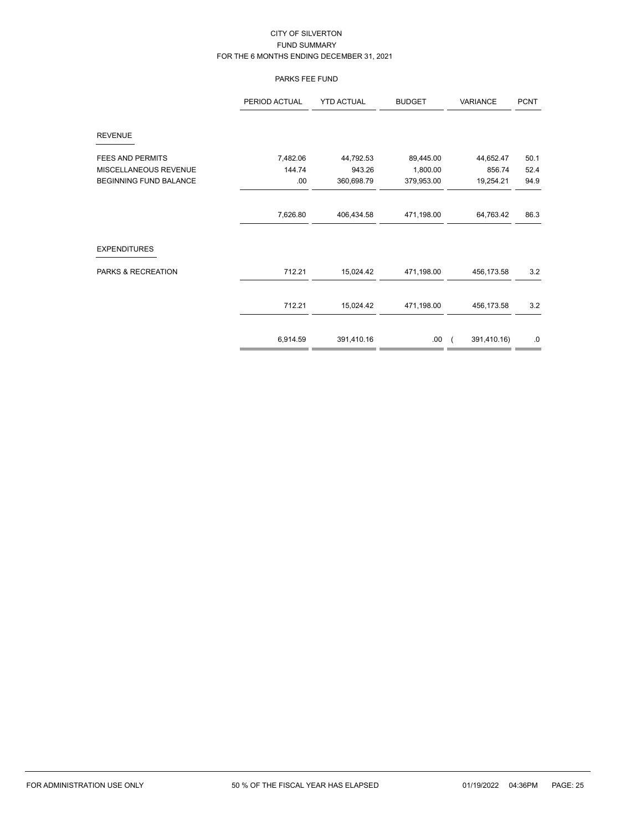### PARKS FEE FUND

|                               | PERIOD ACTUAL | <b>YTD ACTUAL</b> | <b>BUDGET</b> | VARIANCE    | <b>PCNT</b> |
|-------------------------------|---------------|-------------------|---------------|-------------|-------------|
| <b>REVENUE</b>                |               |                   |               |             |             |
| <b>FEES AND PERMITS</b>       | 7,482.06      | 44,792.53         | 89,445.00     | 44,652.47   | 50.1        |
| MISCELLANEOUS REVENUE         | 144.74        | 943.26            | 1,800.00      | 856.74      | 52.4        |
| <b>BEGINNING FUND BALANCE</b> | .00.          | 360,698.79        | 379,953.00    | 19,254.21   | 94.9        |
|                               | 7,626.80      | 406,434.58        | 471,198.00    | 64,763.42   | 86.3        |
| <b>EXPENDITURES</b>           |               |                   |               |             |             |
| PARKS & RECREATION            | 712.21        | 15,024.42         | 471,198.00    | 456,173.58  | 3.2         |
|                               | 712.21        | 15,024.42         | 471,198.00    | 456,173.58  | 3.2         |
|                               | 6,914.59      | 391,410.16        | .00           | 391,410.16) | .0          |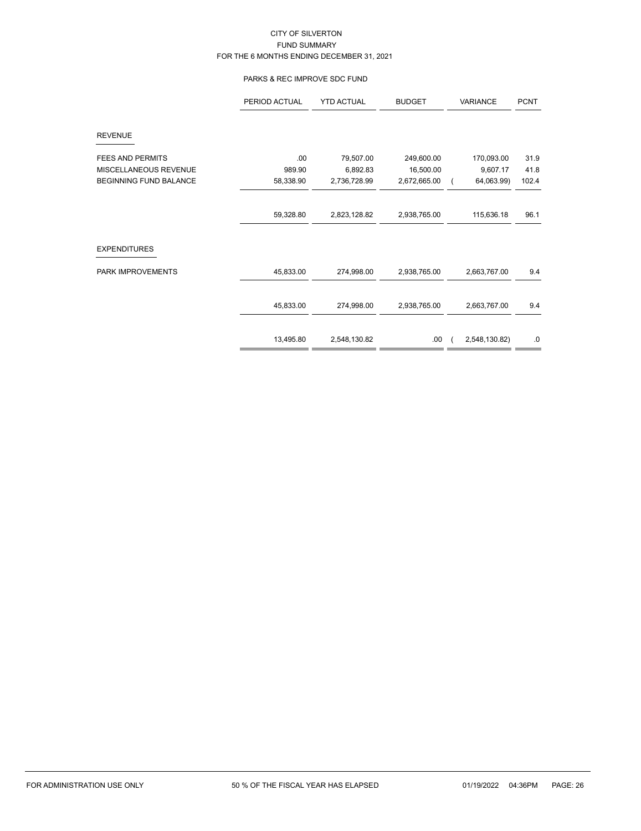### PARKS & REC IMPROVE SDC FUND

|                               | PERIOD ACTUAL | <b>YTD ACTUAL</b> | <b>BUDGET</b> | VARIANCE      | <b>PCNT</b> |
|-------------------------------|---------------|-------------------|---------------|---------------|-------------|
| <b>REVENUE</b>                |               |                   |               |               |             |
| <b>FEES AND PERMITS</b>       | .00           | 79,507.00         | 249,600.00    | 170,093.00    | 31.9        |
| MISCELLANEOUS REVENUE         | 989.90        | 6,892.83          | 16,500.00     | 9,607.17      | 41.8        |
| <b>BEGINNING FUND BALANCE</b> | 58,338.90     | 2,736,728.99      | 2,672,665.00  | 64,063.99)    | 102.4       |
|                               |               |                   |               |               |             |
|                               | 59,328.80     | 2,823,128.82      | 2,938,765.00  | 115,636.18    | 96.1        |
| <b>EXPENDITURES</b>           |               |                   |               |               |             |
| PARK IMPROVEMENTS             | 45,833.00     | 274,998.00        | 2,938,765.00  | 2,663,767.00  | 9.4         |
|                               | 45,833.00     | 274,998.00        | 2,938,765.00  | 2,663,767.00  | 9.4         |
|                               |               |                   |               |               |             |
|                               | 13,495.80     | 2,548,130.82      | .00.          | 2,548,130.82) | .0          |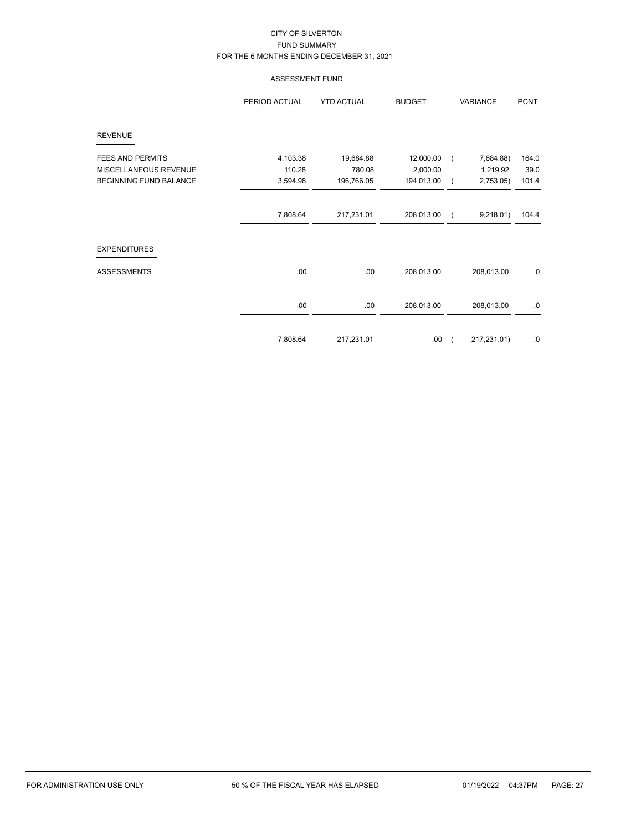### ASSESSMENT FUND

|                               | PERIOD ACTUAL | <b>YTD ACTUAL</b> | <b>BUDGET</b> | VARIANCE    | <b>PCNT</b> |
|-------------------------------|---------------|-------------------|---------------|-------------|-------------|
| <b>REVENUE</b>                |               |                   |               |             |             |
| <b>FEES AND PERMITS</b>       | 4,103.38      | 19,684.88         | 12,000.00     | 7,684.88)   | 164.0       |
| MISCELLANEOUS REVENUE         | 110.28        | 780.08            | 2,000.00      | 1,219.92    | 39.0        |
| <b>BEGINNING FUND BALANCE</b> | 3,594.98      | 196,766.05        | 194,013.00    | 2,753.05    | 101.4       |
|                               | 7,808.64      | 217,231.01        | 208,013.00    | 9,218.01)   | 104.4       |
| <b>EXPENDITURES</b>           |               |                   |               |             |             |
| <b>ASSESSMENTS</b>            | .00           | .00               | 208,013.00    | 208,013.00  | 0.          |
|                               |               |                   |               |             |             |
|                               | .00           | .00               | 208,013.00    | 208,013.00  | 0.          |
|                               | 7,808.64      | 217,231.01        | .00.          | 217,231.01) | .0          |
|                               |               |                   |               |             |             |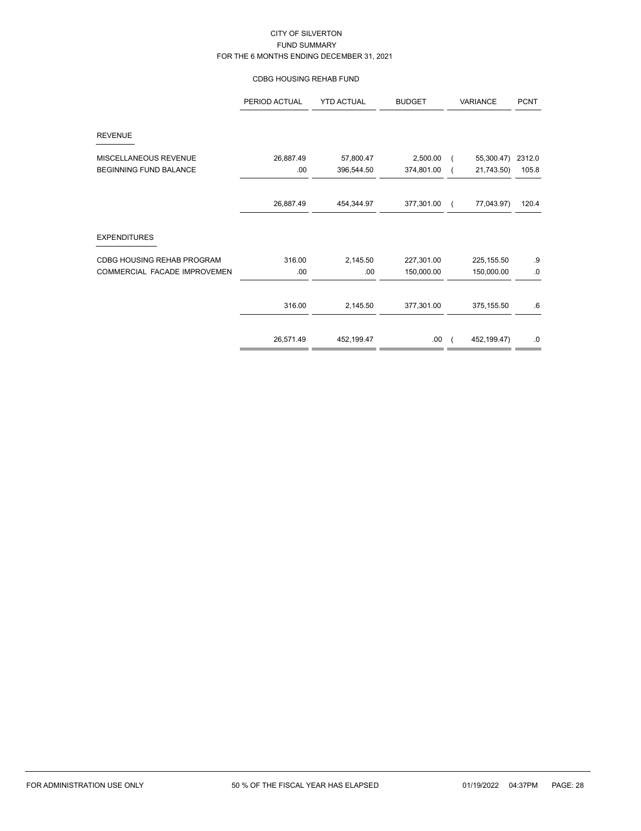### CDBG HOUSING REHAB FUND

|                               | PERIOD ACTUAL | <b>YTD ACTUAL</b> | <b>BUDGET</b> |          | VARIANCE     |        |
|-------------------------------|---------------|-------------------|---------------|----------|--------------|--------|
| <b>REVENUE</b>                |               |                   |               |          |              |        |
| MISCELLANEOUS REVENUE         | 26,887.49     | 57,800.47         | 2,500.00      |          | 55,300.47)   | 2312.0 |
| <b>BEGINNING FUND BALANCE</b> | .00           | 396,544.50        | 374,801.00    |          | 21,743.50)   | 105.8  |
|                               | 26,887.49     | 454,344.97        | 377,301.00    | $\left($ | 77,043.97)   | 120.4  |
| <b>EXPENDITURES</b>           |               |                   |               |          |              |        |
| CDBG HOUSING REHAB PROGRAM    | 316.00        | 2,145.50          | 227,301.00    |          | 225, 155.50  | .9     |
| COMMERCIAL FACADE IMPROVEMEN  | .00           | .00               | 150,000.00    |          | 150,000.00   | 0.     |
|                               | 316.00        | 2,145.50          | 377,301.00    |          | 375, 155.50  | .6     |
|                               | 26,571.49     | 452, 199.47       | .00           |          | 452, 199.47) | $.0\,$ |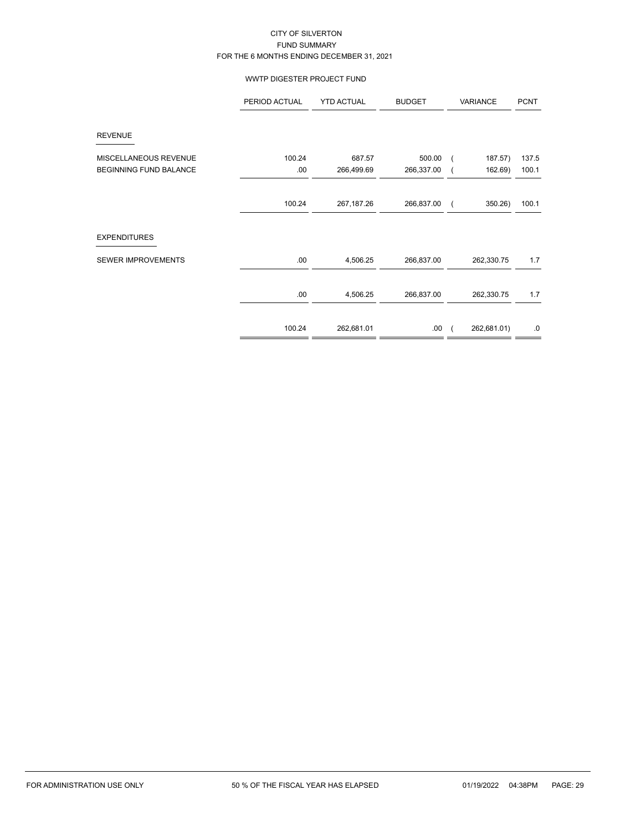### WWTP DIGESTER PROJECT FUND

|                               | PERIOD ACTUAL | <b>YTD ACTUAL</b> | <b>BUDGET</b> | VARIANCE    | <b>PCNT</b>      |
|-------------------------------|---------------|-------------------|---------------|-------------|------------------|
| <b>REVENUE</b>                |               |                   |               |             |                  |
| MISCELLANEOUS REVENUE         | 100.24        | 687.57            | 500.00        |             | 187.57)<br>137.5 |
| <b>BEGINNING FUND BALANCE</b> | .00           | 266,499.69        | 266,337.00    |             | 100.1<br>162.69) |
|                               |               |                   |               |             |                  |
|                               | 100.24        | 267, 187. 26      | 266,837.00    |             | 350.26)<br>100.1 |
|                               |               |                   |               |             |                  |
| <b>EXPENDITURES</b>           |               |                   |               |             |                  |
| SEWER IMPROVEMENTS            | .00           | 4,506.25          | 266,837.00    | 262,330.75  | 1.7              |
|                               | .00           | 4,506.25          | 266,837.00    | 262,330.75  | 1.7              |
|                               |               |                   |               |             |                  |
|                               | 100.24        | 262,681.01        | .00           | 262,681.01) | .0               |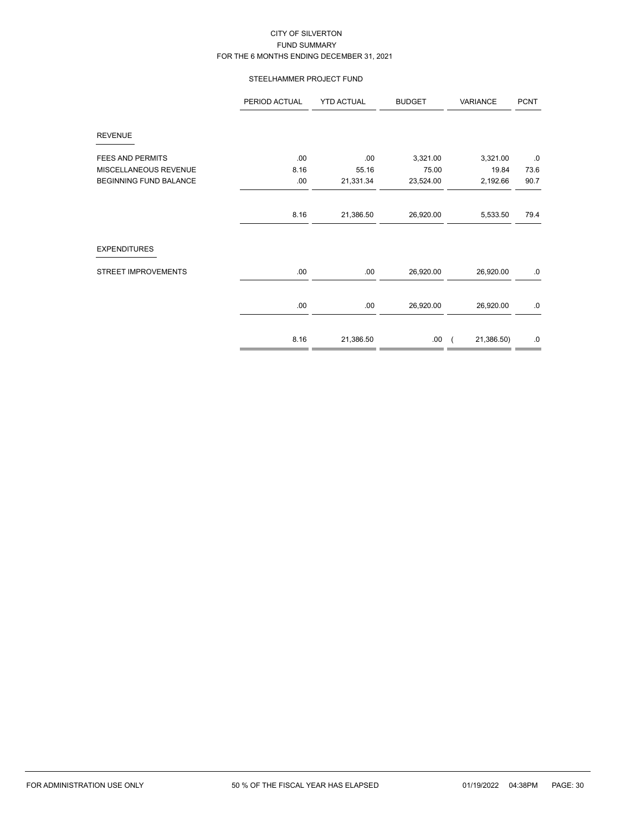### STEELHAMMER PROJECT FUND

|                               | PERIOD ACTUAL | <b>YTD ACTUAL</b> | <b>BUDGET</b> | VARIANCE   | <b>PCNT</b> |
|-------------------------------|---------------|-------------------|---------------|------------|-------------|
| <b>REVENUE</b>                |               |                   |               |            |             |
| <b>FEES AND PERMITS</b>       | .00           | .00               | 3,321.00      | 3,321.00   | .0          |
| MISCELLANEOUS REVENUE         | 8.16          | 55.16             | 75.00         | 19.84      | 73.6        |
| <b>BEGINNING FUND BALANCE</b> | .00           | 21,331.34         | 23,524.00     | 2,192.66   | 90.7        |
|                               |               |                   |               |            |             |
|                               | 8.16          | 21,386.50         | 26,920.00     | 5,533.50   | 79.4        |
| <b>EXPENDITURES</b>           |               |                   |               |            |             |
| <b>STREET IMPROVEMENTS</b>    | .00           | .00               | 26,920.00     | 26,920.00  | 0.          |
|                               |               |                   |               |            |             |
|                               | .00           | .00               | 26,920.00     | 26,920.00  | .0          |
|                               |               |                   |               |            |             |
|                               | 8.16          | 21,386.50         | .00.          | 21,386.50) | .0          |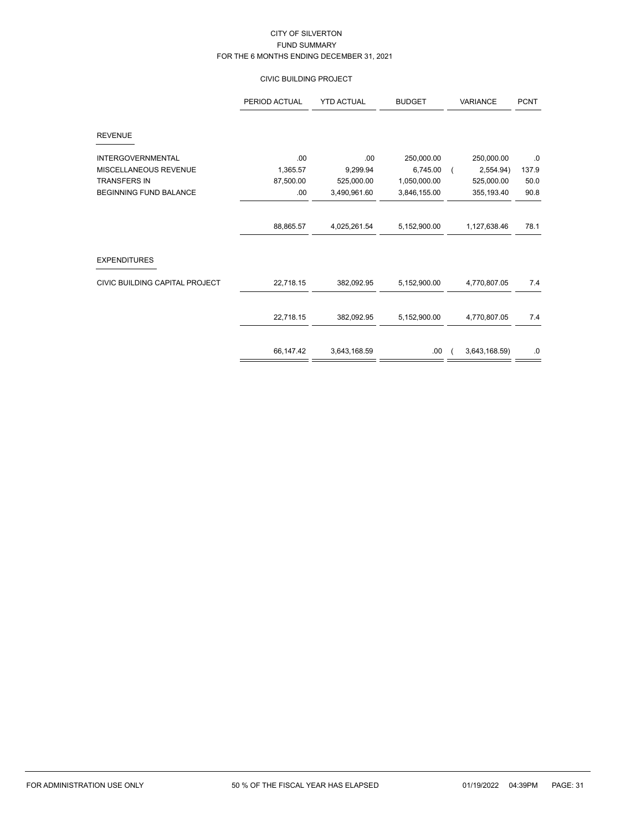# CIVIC BUILDING PROJECT

|                                | PERIOD ACTUAL | <b>YTD ACTUAL</b> | <b>BUDGET</b> | <b>VARIANCE</b> | <b>PCNT</b> |
|--------------------------------|---------------|-------------------|---------------|-----------------|-------------|
| <b>REVENUE</b>                 |               |                   |               |                 |             |
| <b>INTERGOVERNMENTAL</b>       | .00           | .00               | 250,000.00    | 250,000.00      | .0          |
| MISCELLANEOUS REVENUE          | 1,365.57      | 9,299.94          | 6,745.00      | 2,554.94)       | 137.9       |
| <b>TRANSFERS IN</b>            | 87,500.00     | 525,000.00        | 1,050,000.00  | 525,000.00      | 50.0        |
| <b>BEGINNING FUND BALANCE</b>  | .00           | 3,490,961.60      | 3,846,155.00  | 355, 193.40     | 90.8        |
|                                | 88,865.57     | 4,025,261.54      | 5,152,900.00  | 1,127,638.46    | 78.1        |
| <b>EXPENDITURES</b>            |               |                   |               |                 |             |
| CIVIC BUILDING CAPITAL PROJECT | 22,718.15     | 382,092.95        | 5,152,900.00  | 4,770,807.05    | 7.4         |
|                                | 22,718.15     | 382,092.95        | 5,152,900.00  | 4,770,807.05    | 7.4         |
|                                | 66,147.42     | 3,643,168.59      | .00           | 3,643,168.59)   | $.0\,$      |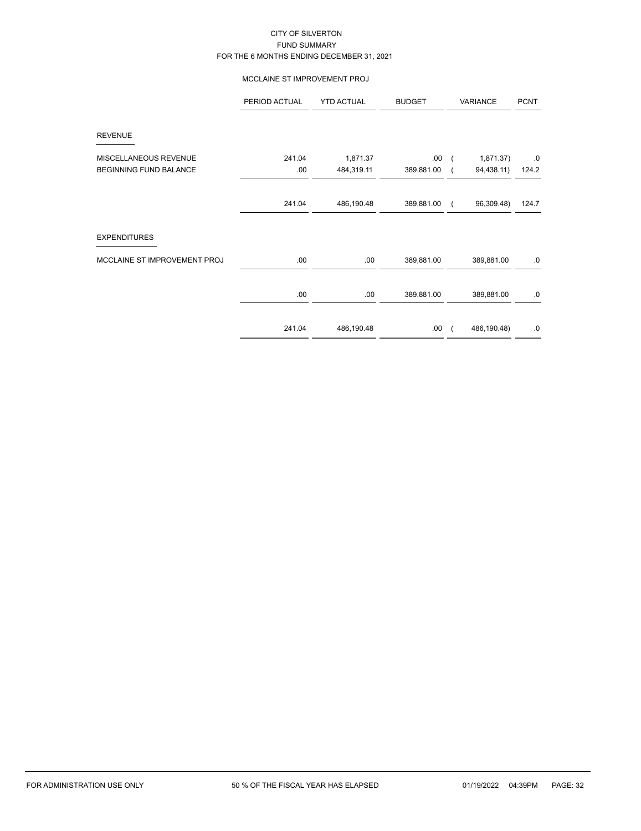### MCCLAINE ST IMPROVEMENT PROJ

|                               | PERIOD ACTUAL | <b>YTD ACTUAL</b> | <b>BUDGET</b> |            | <b>VARIANCE</b> | <b>PCNT</b> |
|-------------------------------|---------------|-------------------|---------------|------------|-----------------|-------------|
| <b>REVENUE</b>                |               |                   |               |            |                 |             |
| MISCELLANEOUS REVENUE         | 241.04        | 1,871.37          | .00.          | $\sqrt{2}$ | 1,871.37)       | .0          |
| <b>BEGINNING FUND BALANCE</b> | .00           | 484,319.11        | 389,881.00    |            | 94,438.11)      | 124.2       |
|                               | 241.04        | 486,190.48        | 389,881.00    |            | 96,309.48)      | 124.7       |
| <b>EXPENDITURES</b>           |               |                   |               |            |                 |             |
| MCCLAINE ST IMPROVEMENT PROJ  | .00.          | .00               | 389,881.00    |            | 389,881.00      | 0.          |
|                               | .00.          | .00               | 389,881.00    |            | 389,881.00      | .0          |
|                               | 241.04        | 486,190.48        | .00.          |            | 486,190.48)     | .0          |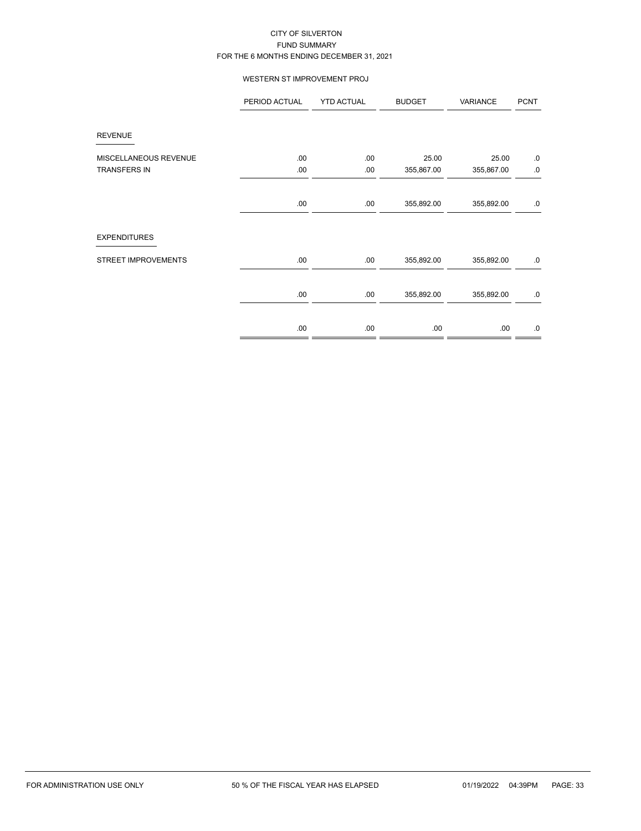### WESTERN ST IMPROVEMENT PROJ

|                            | PERIOD ACTUAL | <b>YTD ACTUAL</b> | <b>BUDGET</b> | VARIANCE   | <b>PCNT</b> |
|----------------------------|---------------|-------------------|---------------|------------|-------------|
| <b>REVENUE</b>             |               |                   |               |            |             |
| MISCELLANEOUS REVENUE      | .00.          | .00.              | 25.00         | 25.00      | 0.          |
| <b>TRANSFERS IN</b>        | .00.          | .00.              | 355,867.00    | 355,867.00 | $\cdot$ 0.  |
|                            | .00.          | .00               | 355,892.00    | 355,892.00 | 0.          |
| <b>EXPENDITURES</b>        |               |                   |               |            |             |
| <b>STREET IMPROVEMENTS</b> | .00.          | .00               | 355,892.00    | 355,892.00 | 0.          |
|                            | .00.          | .00               | 355,892.00    | 355,892.00 | .0          |
|                            | .00.          | .00               | .00.          | .00        | 0.          |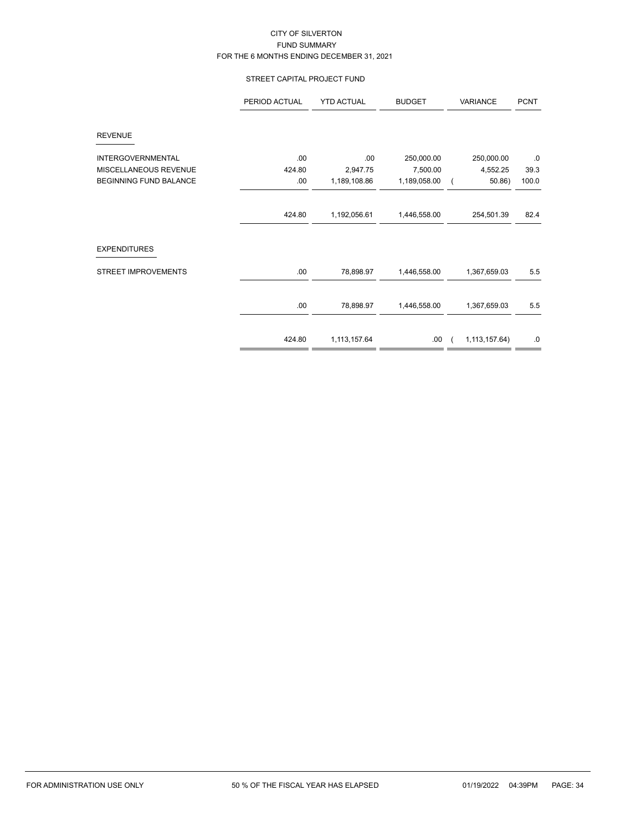# STREET CAPITAL PROJECT FUND

|                               | PERIOD ACTUAL | <b>YTD ACTUAL</b> | <b>BUDGET</b> | VARIANCE      | <b>PCNT</b> |
|-------------------------------|---------------|-------------------|---------------|---------------|-------------|
| <b>REVENUE</b>                |               |                   |               |               |             |
| <b>INTERGOVERNMENTAL</b>      | .00           | .00               | 250,000.00    | 250,000.00    | .0          |
| MISCELLANEOUS REVENUE         | 424.80        | 2,947.75          | 7,500.00      | 4,552.25      | 39.3        |
| <b>BEGINNING FUND BALANCE</b> | .00           | 1,189,108.86      | 1,189,058.00  | 50.86)        | 100.0       |
|                               |               |                   |               |               |             |
|                               | 424.80        | 1,192,056.61      | 1,446,558.00  | 254,501.39    | 82.4        |
| <b>EXPENDITURES</b>           |               |                   |               |               |             |
| <b>STREET IMPROVEMENTS</b>    | .00           | 78,898.97         | 1,446,558.00  | 1,367,659.03  | 5.5         |
|                               | .00           | 78,898.97         | 1,446,558.00  | 1,367,659.03  | 5.5         |
|                               |               |                   |               |               |             |
|                               | 424.80        | 1,113,157.64      | .00           | 1,113,157.64) | .0          |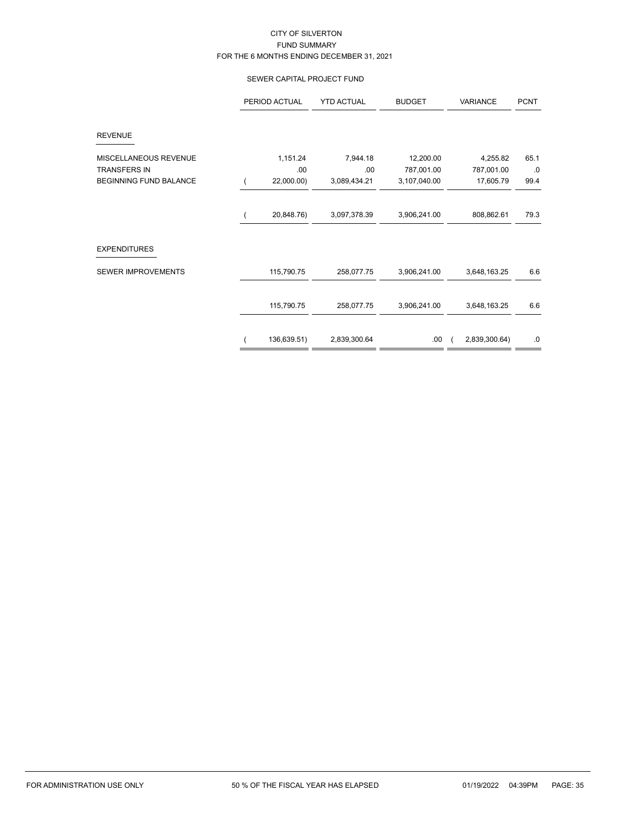### SEWER CAPITAL PROJECT FUND

|                               | PERIOD ACTUAL | <b>YTD ACTUAL</b> | <b>BUDGET</b> | VARIANCE      | <b>PCNT</b> |
|-------------------------------|---------------|-------------------|---------------|---------------|-------------|
| <b>REVENUE</b>                |               |                   |               |               |             |
| MISCELLANEOUS REVENUE         | 1,151.24      | 7,944.18          | 12,200.00     | 4,255.82      | 65.1        |
| <b>TRANSFERS IN</b>           | .00           | .00               | 787,001.00    | 787,001.00    | .0          |
| <b>BEGINNING FUND BALANCE</b> | 22,000.00)    | 3,089,434.21      | 3,107,040.00  | 17,605.79     | 99.4        |
|                               | 20,848.76)    | 3,097,378.39      | 3,906,241.00  | 808,862.61    | 79.3        |
| <b>EXPENDITURES</b>           |               |                   |               |               |             |
| SEWER IMPROVEMENTS            | 115,790.75    | 258,077.75        | 3,906,241.00  | 3,648,163.25  | 6.6         |
|                               | 115,790.75    | 258,077.75        | 3,906,241.00  | 3,648,163.25  | 6.6         |
|                               | 136,639.51)   | 2,839,300.64      | .00.          | 2,839,300.64) | .0          |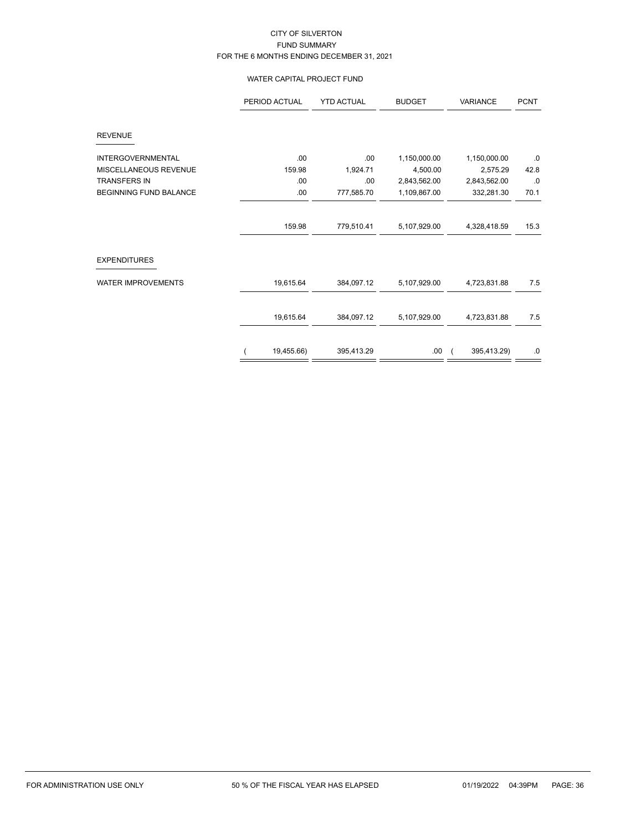### WATER CAPITAL PROJECT FUND

|                               | PERIOD ACTUAL | <b>YTD ACTUAL</b> | <b>BUDGET</b> | <b>VARIANCE</b> | <b>PCNT</b> |
|-------------------------------|---------------|-------------------|---------------|-----------------|-------------|
| <b>REVENUE</b>                |               |                   |               |                 |             |
| <b>INTERGOVERNMENTAL</b>      | .00.          | .00               | 1,150,000.00  | 1,150,000.00    | $\cdot$ 0   |
| MISCELLANEOUS REVENUE         | 159.98        | 1,924.71          | 4,500.00      | 2,575.29        | 42.8        |
| <b>TRANSFERS IN</b>           | .00           | .00               | 2,843,562.00  | 2,843,562.00    | .0          |
| <b>BEGINNING FUND BALANCE</b> | .00.          | 777,585.70        | 1,109,867.00  | 332,281.30      | 70.1        |
|                               | 159.98        | 779,510.41        | 5,107,929.00  | 4,328,418.59    | 15.3        |
| <b>EXPENDITURES</b>           |               |                   |               |                 |             |
| <b>WATER IMPROVEMENTS</b>     | 19,615.64     | 384,097.12        | 5,107,929.00  | 4,723,831.88    | 7.5         |
|                               | 19,615.64     | 384,097.12        | 5,107,929.00  | 4,723,831.88    | 7.5         |
|                               | 19,455.66)    | 395,413.29        | .00.          | 395,413.29)     | $.0\,$      |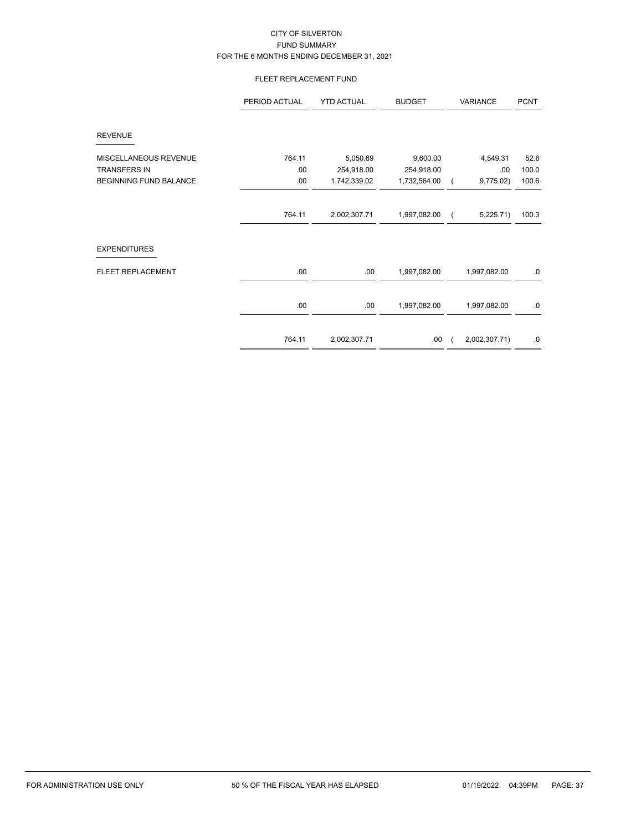# FLEET REPLACEMENT FUND

|                               | PERIOD ACTUAL | <b>YTD ACTUAL</b> | <b>BUDGET</b> | VARIANCE      | <b>PCNT</b> |
|-------------------------------|---------------|-------------------|---------------|---------------|-------------|
| <b>REVENUE</b>                |               |                   |               |               |             |
| MISCELLANEOUS REVENUE         | 764.11        | 5,050.69          | 9,600.00      | 4,549.31      | 52.6        |
| <b>TRANSFERS IN</b>           | .00           | 254,918.00        | 254,918.00    | .00.          | 100.0       |
| <b>BEGINNING FUND BALANCE</b> | .00           | 1,742,339.02      | 1,732,564.00  | 9,775.02)     | 100.6       |
|                               | 764.11        | 2,002,307.71      | 1,997,082.00  | 5,225.71)     | 100.3       |
| <b>EXPENDITURES</b>           |               |                   |               |               |             |
| FLEET REPLACEMENT             | .00           | .00.              | 1,997,082.00  | 1,997,082.00  | .0          |
|                               | .00           | .00               | 1,997,082.00  | 1,997,082.00  | .0          |
|                               | 764.11        | 2,002,307.71      | .00.          | 2,002,307.71) | $.0\,$      |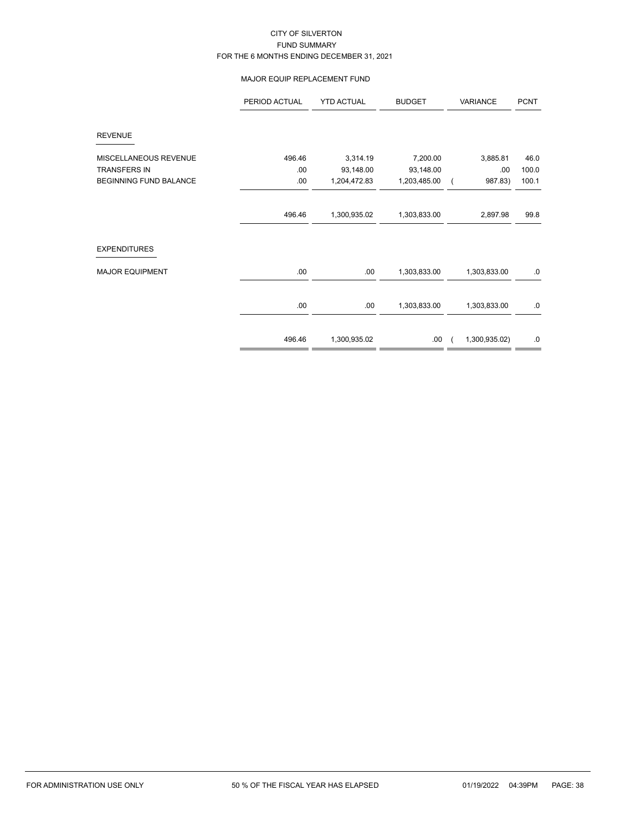### MAJOR EQUIP REPLACEMENT FUND

|                               | PERIOD ACTUAL | <b>YTD ACTUAL</b> | <b>BUDGET</b> | VARIANCE      | <b>PCNT</b> |
|-------------------------------|---------------|-------------------|---------------|---------------|-------------|
| <b>REVENUE</b>                |               |                   |               |               |             |
| MISCELLANEOUS REVENUE         | 496.46        | 3,314.19          | 7,200.00      | 3,885.81      | 46.0        |
| <b>TRANSFERS IN</b>           | .00           | 93,148.00         | 93,148.00     | .00           | 100.0       |
| <b>BEGINNING FUND BALANCE</b> | .00           | 1,204,472.83      | 1,203,485.00  | 987.83)       | 100.1       |
|                               | 496.46        | 1,300,935.02      | 1,303,833.00  | 2,897.98      | 99.8        |
| <b>EXPENDITURES</b>           |               |                   |               |               |             |
| <b>MAJOR EQUIPMENT</b>        | .00           | .00               | 1,303,833.00  | 1,303,833.00  | .0          |
|                               | .00           | .00               | 1,303,833.00  | 1,303,833.00  | .0          |
|                               | 496.46        | 1,300,935.02      | .00.          | 1,300,935.02) | .0          |